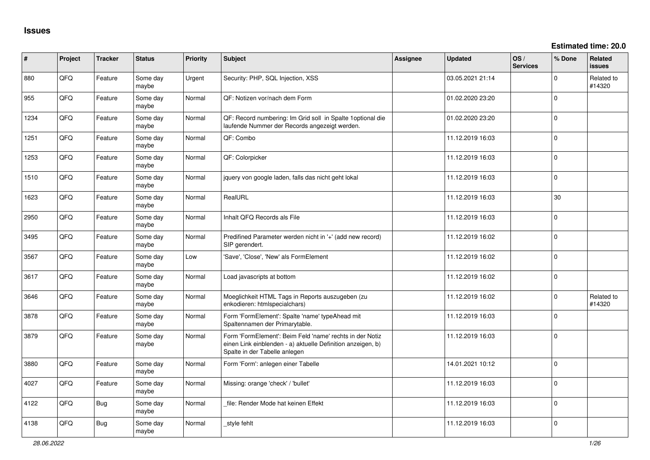**Estimated time: 20.0**

| ∦    | Project | <b>Tracker</b> | <b>Status</b>     | <b>Priority</b> | Subject                                                                                                                                                  | Assignee | <b>Updated</b>   | OS/<br><b>Services</b> | % Done      | Related<br><b>issues</b> |
|------|---------|----------------|-------------------|-----------------|----------------------------------------------------------------------------------------------------------------------------------------------------------|----------|------------------|------------------------|-------------|--------------------------|
| 880  | QFQ     | Feature        | Some dav<br>maybe | Urgent          | Security: PHP, SQL Injection, XSS                                                                                                                        |          | 03.05.2021 21:14 |                        | $\Omega$    | Related to<br>#14320     |
| 955  | QFQ     | Feature        | Some day<br>maybe | Normal          | QF: Notizen vor/nach dem Form                                                                                                                            |          | 01.02.2020 23:20 |                        | $\mathbf 0$ |                          |
| 1234 | QFQ     | Feature        | Some day<br>maybe | Normal          | QF: Record numbering: Im Grid soll in Spalte 1optional die<br>laufende Nummer der Records angezeigt werden.                                              |          | 01.02.2020 23:20 |                        | $\mathbf 0$ |                          |
| 1251 | QFQ     | Feature        | Some day<br>maybe | Normal          | QF: Combo                                                                                                                                                |          | 11.12.2019 16:03 |                        | $\mathbf 0$ |                          |
| 1253 | QFQ     | Feature        | Some day<br>maybe | Normal          | QF: Colorpicker                                                                                                                                          |          | 11.12.2019 16:03 |                        | $\Omega$    |                          |
| 1510 | QFQ     | Feature        | Some day<br>maybe | Normal          | jquery von google laden, falls das nicht geht lokal                                                                                                      |          | 11.12.2019 16:03 |                        | $\mathbf 0$ |                          |
| 1623 | QFQ     | Feature        | Some day<br>maybe | Normal          | RealURL                                                                                                                                                  |          | 11.12.2019 16:03 |                        | 30          |                          |
| 2950 | QFQ     | Feature        | Some day<br>maybe | Normal          | Inhalt QFQ Records als File                                                                                                                              |          | 11.12.2019 16:03 |                        | $\Omega$    |                          |
| 3495 | QFQ     | Feature        | Some day<br>maybe | Normal          | Predifined Parameter werden nicht in '+' (add new record)<br>SIP gerendert.                                                                              |          | 11.12.2019 16:02 |                        | $\Omega$    |                          |
| 3567 | QFG     | Feature        | Some day<br>maybe | Low             | 'Save', 'Close', 'New' als FormElement                                                                                                                   |          | 11.12.2019 16:02 |                        | $\mathbf 0$ |                          |
| 3617 | QFQ     | Feature        | Some day<br>maybe | Normal          | Load javascripts at bottom                                                                                                                               |          | 11.12.2019 16:02 |                        | $\mathbf 0$ |                          |
| 3646 | QFQ     | Feature        | Some day<br>maybe | Normal          | Moeglichkeit HTML Tags in Reports auszugeben (zu<br>enkodieren: htmlspecialchars)                                                                        |          | 11.12.2019 16:02 |                        | $\Omega$    | Related to<br>#14320     |
| 3878 | QFQ     | Feature        | Some day<br>maybe | Normal          | Form 'FormElement': Spalte 'name' typeAhead mit<br>Spaltennamen der Primarytable.                                                                        |          | 11.12.2019 16:03 |                        | $\Omega$    |                          |
| 3879 | QFQ     | Feature        | Some day<br>maybe | Normal          | Form 'FormElement': Beim Feld 'name' rechts in der Notiz<br>einen Link einblenden - a) aktuelle Definition anzeigen, b)<br>Spalte in der Tabelle anlegen |          | 11.12.2019 16:03 |                        | $\Omega$    |                          |
| 3880 | QFQ     | Feature        | Some day<br>maybe | Normal          | Form 'Form': anlegen einer Tabelle                                                                                                                       |          | 14.01.2021 10:12 |                        | $\mathbf 0$ |                          |
| 4027 | QFQ     | Feature        | Some day<br>maybe | Normal          | Missing: orange 'check' / 'bullet'                                                                                                                       |          | 11.12.2019 16:03 |                        | $\mathbf 0$ |                          |
| 4122 | QFQ     | Bug            | Some day<br>maybe | Normal          | file: Render Mode hat keinen Effekt                                                                                                                      |          | 11.12.2019 16:03 |                        | $\Omega$    |                          |
| 4138 | QFQ     | Bug            | Some day<br>maybe | Normal          | _style fehlt                                                                                                                                             |          | 11.12.2019 16:03 |                        | $\Omega$    |                          |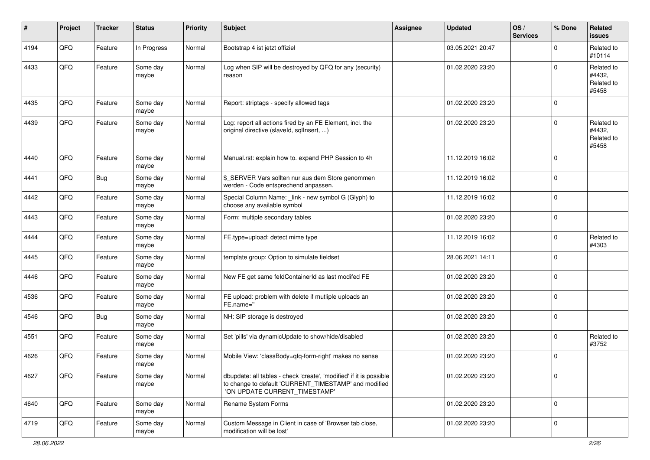| #    | Project | <b>Tracker</b> | <b>Status</b>     | <b>Priority</b> | <b>Subject</b>                                                                                                                                                | <b>Assignee</b> | <b>Updated</b>   | OS/<br><b>Services</b> | % Done      | Related<br><b>issues</b>                    |
|------|---------|----------------|-------------------|-----------------|---------------------------------------------------------------------------------------------------------------------------------------------------------------|-----------------|------------------|------------------------|-------------|---------------------------------------------|
| 4194 | QFQ     | Feature        | In Progress       | Normal          | Bootstrap 4 ist jetzt offiziel                                                                                                                                |                 | 03.05.2021 20:47 |                        | $\Omega$    | Related to<br>#10114                        |
| 4433 | QFQ     | Feature        | Some day<br>maybe | Normal          | Log when SIP will be destroyed by QFQ for any (security)<br>reason                                                                                            |                 | 01.02.2020 23:20 |                        | $\Omega$    | Related to<br>#4432,<br>Related to<br>#5458 |
| 4435 | QFQ     | Feature        | Some day<br>maybe | Normal          | Report: striptags - specify allowed tags                                                                                                                      |                 | 01.02.2020 23:20 |                        | $\mathbf 0$ |                                             |
| 4439 | QFQ     | Feature        | Some day<br>maybe | Normal          | Log: report all actions fired by an FE Element, incl. the<br>original directive (slaveld, sqlInsert, )                                                        |                 | 01.02.2020 23:20 |                        | $\Omega$    | Related to<br>#4432,<br>Related to<br>#5458 |
| 4440 | QFQ     | Feature        | Some day<br>maybe | Normal          | Manual.rst: explain how to. expand PHP Session to 4h                                                                                                          |                 | 11.12.2019 16:02 |                        | $\Omega$    |                                             |
| 4441 | QFQ     | <b>Bug</b>     | Some day<br>maybe | Normal          | \$_SERVER Vars sollten nur aus dem Store genommen<br>werden - Code entsprechend anpassen.                                                                     |                 | 11.12.2019 16:02 |                        | $\mathbf 0$ |                                             |
| 4442 | QFQ     | Feature        | Some day<br>maybe | Normal          | Special Column Name: _link - new symbol G (Glyph) to<br>choose any available symbol                                                                           |                 | 11.12.2019 16:02 |                        | $\mathbf 0$ |                                             |
| 4443 | QFQ     | Feature        | Some day<br>maybe | Normal          | Form: multiple secondary tables                                                                                                                               |                 | 01.02.2020 23:20 |                        | $\mathbf 0$ |                                             |
| 4444 | QFQ     | Feature        | Some day<br>maybe | Normal          | FE.type=upload: detect mime type                                                                                                                              |                 | 11.12.2019 16:02 |                        | $\mathbf 0$ | Related to<br>#4303                         |
| 4445 | QFQ     | Feature        | Some day<br>maybe | Normal          | template group: Option to simulate fieldset                                                                                                                   |                 | 28.06.2021 14:11 |                        | $\mathbf 0$ |                                             |
| 4446 | QFQ     | Feature        | Some day<br>maybe | Normal          | New FE get same feldContainerId as last modifed FE                                                                                                            |                 | 01.02.2020 23:20 |                        | $\mathbf 0$ |                                             |
| 4536 | QFQ     | Feature        | Some day<br>maybe | Normal          | FE upload: problem with delete if mutliple uploads an<br>FE.name="                                                                                            |                 | 01.02.2020 23:20 |                        | $\mathbf 0$ |                                             |
| 4546 | QFQ     | <b>Bug</b>     | Some day<br>maybe | Normal          | NH: SIP storage is destroyed                                                                                                                                  |                 | 01.02.2020 23:20 |                        | $\mathbf 0$ |                                             |
| 4551 | QFQ     | Feature        | Some day<br>maybe | Normal          | Set 'pills' via dynamicUpdate to show/hide/disabled                                                                                                           |                 | 01.02.2020 23:20 |                        | $\mathbf 0$ | Related to<br>#3752                         |
| 4626 | QFQ     | Feature        | Some day<br>maybe | Normal          | Mobile View: 'classBody=qfq-form-right' makes no sense                                                                                                        |                 | 01.02.2020 23:20 |                        | $\Omega$    |                                             |
| 4627 | QFQ     | Feature        | Some day<br>maybe | Normal          | dbupdate: all tables - check 'create', 'modified' if it is possible<br>to change to default 'CURRENT_TIMESTAMP' and modified<br>'ON UPDATE CURRENT_TIMESTAMP' |                 | 01.02.2020 23:20 |                        | $\mathbf 0$ |                                             |
| 4640 | QFQ     | Feature        | Some day<br>maybe | Normal          | Rename System Forms                                                                                                                                           |                 | 01.02.2020 23:20 |                        | $\mathbf 0$ |                                             |
| 4719 | QFQ     | Feature        | Some day<br>maybe | Normal          | Custom Message in Client in case of 'Browser tab close,<br>modification will be lost'                                                                         |                 | 01.02.2020 23:20 |                        | $\mathbf 0$ |                                             |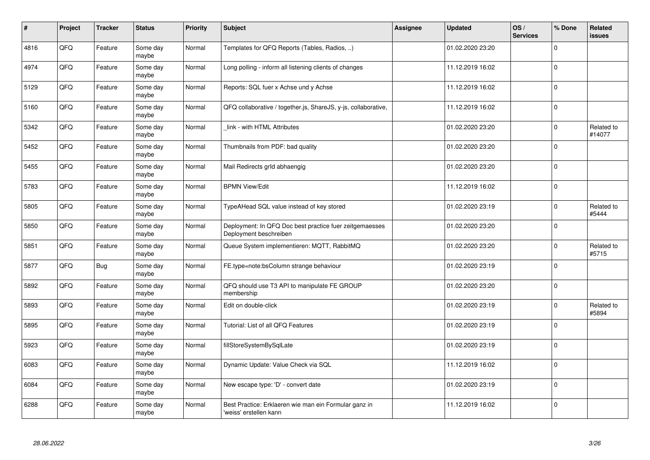| #    | Project | <b>Tracker</b> | <b>Status</b>     | <b>Priority</b> | <b>Subject</b>                                                                    | <b>Assignee</b> | <b>Updated</b>   | OS/<br><b>Services</b> | % Done      | Related<br><b>issues</b> |
|------|---------|----------------|-------------------|-----------------|-----------------------------------------------------------------------------------|-----------------|------------------|------------------------|-------------|--------------------------|
| 4816 | QFQ     | Feature        | Some day<br>maybe | Normal          | Templates for QFQ Reports (Tables, Radios, )                                      |                 | 01.02.2020 23:20 |                        | $\Omega$    |                          |
| 4974 | QFQ     | Feature        | Some day<br>maybe | Normal          | Long polling - inform all listening clients of changes                            |                 | 11.12.2019 16:02 |                        | $\Omega$    |                          |
| 5129 | QFQ     | Feature        | Some day<br>maybe | Normal          | Reports: SQL fuer x Achse und y Achse                                             |                 | 11.12.2019 16:02 |                        | $\mathbf 0$ |                          |
| 5160 | QFQ     | Feature        | Some day<br>maybe | Normal          | QFQ collaborative / together.js, ShareJS, y-js, collaborative,                    |                 | 11.12.2019 16:02 |                        | $\Omega$    |                          |
| 5342 | QFQ     | Feature        | Some day<br>maybe | Normal          | link - with HTML Attributes                                                       |                 | 01.02.2020 23:20 |                        | $\Omega$    | Related to<br>#14077     |
| 5452 | QFQ     | Feature        | Some day<br>maybe | Normal          | Thumbnails from PDF: bad quality                                                  |                 | 01.02.2020 23:20 |                        | $\mathbf 0$ |                          |
| 5455 | QFQ     | Feature        | Some day<br>maybe | Normal          | Mail Redirects grld abhaengig                                                     |                 | 01.02.2020 23:20 |                        | $\Omega$    |                          |
| 5783 | QFQ     | Feature        | Some day<br>maybe | Normal          | <b>BPMN View/Edit</b>                                                             |                 | 11.12.2019 16:02 |                        | $\Omega$    |                          |
| 5805 | QFQ     | Feature        | Some day<br>maybe | Normal          | TypeAHead SQL value instead of key stored                                         |                 | 01.02.2020 23:19 |                        | $\Omega$    | Related to<br>#5444      |
| 5850 | QFQ     | Feature        | Some day<br>maybe | Normal          | Deployment: In QFQ Doc best practice fuer zeitgemaesses<br>Deployment beschreiben |                 | 01.02.2020 23:20 |                        | $\mathbf 0$ |                          |
| 5851 | QFQ     | Feature        | Some day<br>maybe | Normal          | Queue System implementieren: MQTT, RabbitMQ                                       |                 | 01.02.2020 23:20 |                        | $\Omega$    | Related to<br>#5715      |
| 5877 | QFQ     | Bug            | Some day<br>maybe | Normal          | FE.type=note:bsColumn strange behaviour                                           |                 | 01.02.2020 23:19 |                        | $\Omega$    |                          |
| 5892 | QFQ     | Feature        | Some day<br>maybe | Normal          | QFQ should use T3 API to manipulate FE GROUP<br>membership                        |                 | 01.02.2020 23:20 |                        | $\mathbf 0$ |                          |
| 5893 | QFQ     | Feature        | Some day<br>maybe | Normal          | Edit on double-click                                                              |                 | 01.02.2020 23:19 |                        | $\Omega$    | Related to<br>#5894      |
| 5895 | QFQ     | Feature        | Some day<br>maybe | Normal          | Tutorial: List of all QFQ Features                                                |                 | 01.02.2020 23:19 |                        | $\Omega$    |                          |
| 5923 | QFQ     | Feature        | Some day<br>maybe | Normal          | fillStoreSystemBySqlLate                                                          |                 | 01.02.2020 23:19 |                        | $\Omega$    |                          |
| 6083 | QFQ     | Feature        | Some day<br>maybe | Normal          | Dynamic Update: Value Check via SQL                                               |                 | 11.12.2019 16:02 |                        | $\Omega$    |                          |
| 6084 | QFQ     | Feature        | Some day<br>maybe | Normal          | New escape type: 'D' - convert date                                               |                 | 01.02.2020 23:19 |                        | $\Omega$    |                          |
| 6288 | QFQ     | Feature        | Some day<br>maybe | Normal          | Best Practice: Erklaeren wie man ein Formular ganz in<br>'weiss' erstellen kann   |                 | 11.12.2019 16:02 |                        | $\Omega$    |                          |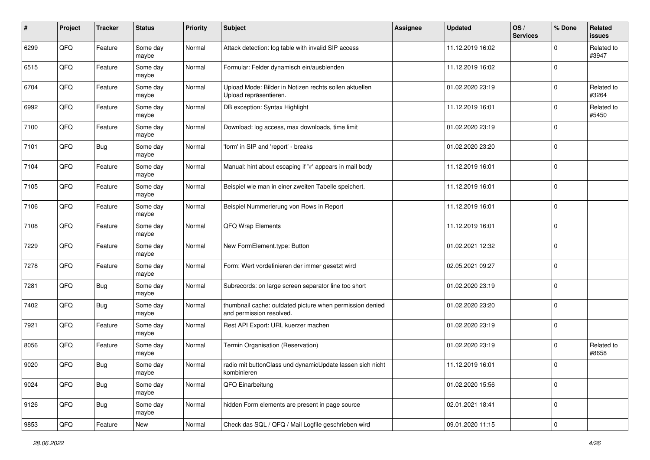| #    | Project | <b>Tracker</b> | <b>Status</b>     | <b>Priority</b> | <b>Subject</b>                                                                       | <b>Assignee</b> | <b>Updated</b>   | OS/<br><b>Services</b> | % Done      | Related<br><b>issues</b> |
|------|---------|----------------|-------------------|-----------------|--------------------------------------------------------------------------------------|-----------------|------------------|------------------------|-------------|--------------------------|
| 6299 | QFQ     | Feature        | Some day<br>maybe | Normal          | Attack detection: log table with invalid SIP access                                  |                 | 11.12.2019 16:02 |                        | 0           | Related to<br>#3947      |
| 6515 | QFQ     | Feature        | Some day<br>maybe | Normal          | Formular: Felder dynamisch ein/ausblenden                                            |                 | 11.12.2019 16:02 |                        | $\mathbf 0$ |                          |
| 6704 | QFQ     | Feature        | Some day<br>maybe | Normal          | Upload Mode: Bilder in Notizen rechts sollen aktuellen<br>Upload repräsentieren.     |                 | 01.02.2020 23:19 |                        | $\Omega$    | Related to<br>#3264      |
| 6992 | QFQ     | Feature        | Some day<br>maybe | Normal          | DB exception: Syntax Highlight                                                       |                 | 11.12.2019 16:01 |                        | $\mathbf 0$ | Related to<br>#5450      |
| 7100 | QFQ     | Feature        | Some day<br>maybe | Normal          | Download: log access, max downloads, time limit                                      |                 | 01.02.2020 23:19 |                        | $\mathbf 0$ |                          |
| 7101 | QFQ     | Bug            | Some day<br>maybe | Normal          | 'form' in SIP and 'report' - breaks                                                  |                 | 01.02.2020 23:20 |                        | $\Omega$    |                          |
| 7104 | QFQ     | Feature        | Some day<br>maybe | Normal          | Manual: hint about escaping if '\r' appears in mail body                             |                 | 11.12.2019 16:01 |                        | $\Omega$    |                          |
| 7105 | QFQ     | Feature        | Some day<br>maybe | Normal          | Beispiel wie man in einer zweiten Tabelle speichert.                                 |                 | 11.12.2019 16:01 |                        | $\Omega$    |                          |
| 7106 | QFQ     | Feature        | Some day<br>maybe | Normal          | Beispiel Nummerierung von Rows in Report                                             |                 | 11.12.2019 16:01 |                        | $\mathbf 0$ |                          |
| 7108 | QFQ     | Feature        | Some day<br>maybe | Normal          | QFQ Wrap Elements                                                                    |                 | 11.12.2019 16:01 |                        | $\Omega$    |                          |
| 7229 | QFQ     | Feature        | Some day<br>maybe | Normal          | New FormElement.type: Button                                                         |                 | 01.02.2021 12:32 |                        | $\mathbf 0$ |                          |
| 7278 | QFQ     | Feature        | Some day<br>maybe | Normal          | Form: Wert vordefinieren der immer gesetzt wird                                      |                 | 02.05.2021 09:27 |                        | $\Omega$    |                          |
| 7281 | QFQ     | Bug            | Some day<br>maybe | Normal          | Subrecords: on large screen separator line too short                                 |                 | 01.02.2020 23:19 |                        | $\Omega$    |                          |
| 7402 | QFQ     | Bug            | Some day<br>maybe | Normal          | thumbnail cache: outdated picture when permission denied<br>and permission resolved. |                 | 01.02.2020 23:20 |                        | $\Omega$    |                          |
| 7921 | QFQ     | Feature        | Some day<br>maybe | Normal          | Rest API Export: URL kuerzer machen                                                  |                 | 01.02.2020 23:19 |                        | $\mathbf 0$ |                          |
| 8056 | QFQ     | Feature        | Some day<br>maybe | Normal          | Termin Organisation (Reservation)                                                    |                 | 01.02.2020 23:19 |                        | $\Omega$    | Related to<br>#8658      |
| 9020 | QFQ     | <b>Bug</b>     | Some day<br>maybe | Normal          | radio mit buttonClass und dynamicUpdate lassen sich nicht<br>kombinieren             |                 | 11.12.2019 16:01 |                        | $\Omega$    |                          |
| 9024 | QFQ     | Bug            | Some day<br>maybe | Normal          | QFQ Einarbeitung                                                                     |                 | 01.02.2020 15:56 |                        | $\mathbf 0$ |                          |
| 9126 | QFQ     | <b>Bug</b>     | Some day<br>maybe | Normal          | hidden Form elements are present in page source                                      |                 | 02.01.2021 18:41 |                        | $\mathbf 0$ |                          |
| 9853 | QFQ     | Feature        | New               | Normal          | Check das SQL / QFQ / Mail Logfile geschrieben wird                                  |                 | 09.01.2020 11:15 |                        | 0           |                          |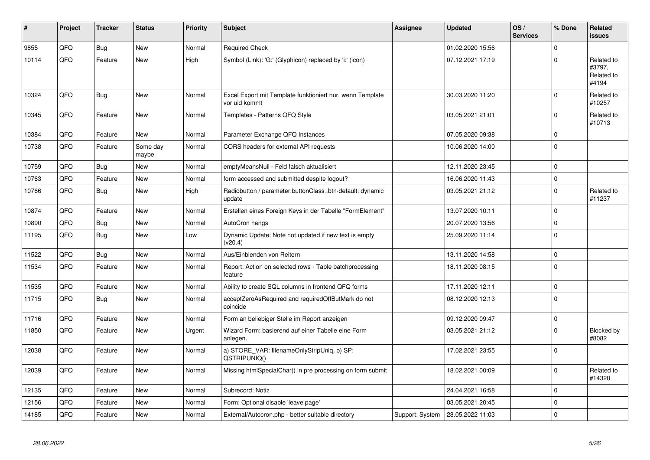| ∦     | Project    | <b>Tracker</b> | <b>Status</b>     | <b>Priority</b> | <b>Subject</b>                                                             | Assignee        | <b>Updated</b>   | OS/<br><b>Services</b> | % Done      | Related<br><b>issues</b>                    |
|-------|------------|----------------|-------------------|-----------------|----------------------------------------------------------------------------|-----------------|------------------|------------------------|-------------|---------------------------------------------|
| 9855  | QFQ        | Bug            | <b>New</b>        | Normal          | <b>Required Check</b>                                                      |                 | 01.02.2020 15:56 |                        | $\Omega$    |                                             |
| 10114 | QFQ        | Feature        | <b>New</b>        | High            | Symbol (Link): 'G:' (Glyphicon) replaced by 'i:' (icon)                    |                 | 07.12.2021 17:19 |                        | $\Omega$    | Related to<br>#3797,<br>Related to<br>#4194 |
| 10324 | QFQ        | <b>Bug</b>     | <b>New</b>        | Normal          | Excel Export mit Template funktioniert nur, wenn Template<br>vor uid kommt |                 | 30.03.2020 11:20 |                        | $\Omega$    | Related to<br>#10257                        |
| 10345 | QFQ        | Feature        | <b>New</b>        | Normal          | Templates - Patterns QFQ Style                                             |                 | 03.05.2021 21:01 |                        | $\Omega$    | Related to<br>#10713                        |
| 10384 | QFQ        | Feature        | <b>New</b>        | Normal          | Parameter Exchange QFQ Instances                                           |                 | 07.05.2020 09:38 |                        | $\Omega$    |                                             |
| 10738 | QFQ        | Feature        | Some day<br>maybe | Normal          | CORS headers for external API requests                                     |                 | 10.06.2020 14:00 |                        | $\Omega$    |                                             |
| 10759 | QFQ        | <b>Bug</b>     | <b>New</b>        | Normal          | emptyMeansNull - Feld falsch aktualisiert                                  |                 | 12.11.2020 23:45 |                        | $\Omega$    |                                             |
| 10763 | QFQ        | Feature        | <b>New</b>        | Normal          | form accessed and submitted despite logout?                                |                 | 16.06.2020 11:43 |                        | $\mathbf 0$ |                                             |
| 10766 | QFQ        | <b>Bug</b>     | New               | High            | Radiobutton / parameter.buttonClass=btn-default: dynamic<br>update         |                 | 03.05.2021 21:12 |                        | $\Omega$    | Related to<br>#11237                        |
| 10874 | QFQ        | Feature        | <b>New</b>        | Normal          | Erstellen eines Foreign Keys in der Tabelle "FormElement"                  |                 | 13.07.2020 10:11 |                        | $\Omega$    |                                             |
| 10890 | QFQ        | <b>Bug</b>     | <b>New</b>        | Normal          | AutoCron hangs                                                             |                 | 20.07.2020 13:56 |                        | $\Omega$    |                                             |
| 11195 | QFQ        | <b>Bug</b>     | <b>New</b>        | Low             | Dynamic Update: Note not updated if new text is empty<br>(v20.4)           |                 | 25.09.2020 11:14 |                        | $\Omega$    |                                             |
| 11522 | QFQ        | <b>Bug</b>     | <b>New</b>        | Normal          | Aus/Einblenden von Reitern                                                 |                 | 13.11.2020 14:58 |                        | $\Omega$    |                                             |
| 11534 | QFQ        | Feature        | <b>New</b>        | Normal          | Report: Action on selected rows - Table batchprocessing<br>feature         |                 | 18.11.2020 08:15 |                        | $\mathbf 0$ |                                             |
| 11535 | QFQ        | Feature        | <b>New</b>        | Normal          | Ability to create SQL columns in frontend QFQ forms                        |                 | 17.11.2020 12:11 |                        | $\mathbf 0$ |                                             |
| 11715 | QFQ        | Bug            | <b>New</b>        | Normal          | acceptZeroAsRequired and requiredOffButMark do not<br>coincide             |                 | 08.12.2020 12:13 |                        | $\Omega$    |                                             |
| 11716 | <b>OFO</b> | Feature        | <b>New</b>        | Normal          | Form an beliebiger Stelle im Report anzeigen                               |                 | 09.12.2020 09:47 |                        | $\Omega$    |                                             |
| 11850 | QFQ        | Feature        | <b>New</b>        | Urgent          | Wizard Form: basierend auf einer Tabelle eine Form<br>anlegen.             |                 | 03.05.2021 21:12 |                        | $\Omega$    | Blocked by<br>#8082                         |
| 12038 | QFQ        | Feature        | <b>New</b>        | Normal          | a) STORE_VAR: filenameOnlyStripUniq, b) SP:<br>QSTRIPUNIQ()                |                 | 17.02.2021 23:55 |                        | $\Omega$    |                                             |
| 12039 | QFQ        | Feature        | <b>New</b>        | Normal          | Missing htmlSpecialChar() in pre processing on form submit                 |                 | 18.02.2021 00:09 |                        | $\Omega$    | Related to<br>#14320                        |
| 12135 | QFQ        | Feature        | <b>New</b>        | Normal          | Subrecord: Notiz                                                           |                 | 24.04.2021 16:58 |                        | $\Omega$    |                                             |
| 12156 | QFQ        | Feature        | New               | Normal          | Form: Optional disable 'leave page'                                        |                 | 03.05.2021 20:45 |                        | $\mathbf 0$ |                                             |
| 14185 | QFQ        | Feature        | <b>New</b>        | Normal          | External/Autocron.php - better suitable directory                          | Support: System | 28.05.2022 11:03 |                        | $\Omega$    |                                             |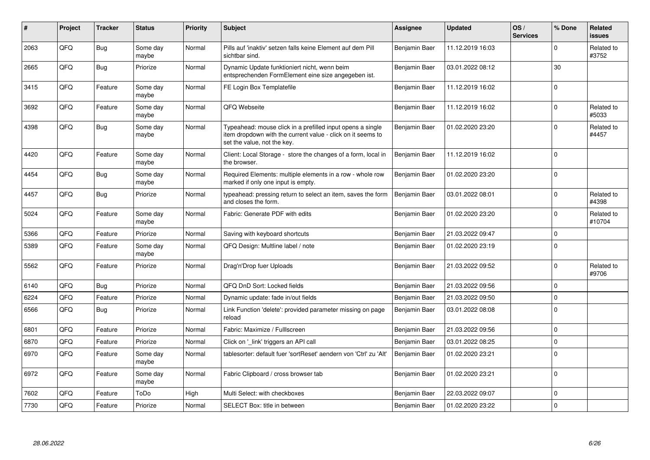| ∦    | Project | <b>Tracker</b> | <b>Status</b>     | <b>Priority</b> | <b>Subject</b>                                                                                                                                           | <b>Assignee</b> | <b>Updated</b>   | OS/<br><b>Services</b> | % Done       | Related<br><b>issues</b> |
|------|---------|----------------|-------------------|-----------------|----------------------------------------------------------------------------------------------------------------------------------------------------------|-----------------|------------------|------------------------|--------------|--------------------------|
| 2063 | QFQ     | Bug            | Some day<br>maybe | Normal          | Pills auf 'inaktiv' setzen falls keine Element auf dem Pill<br>sichtbar sind.                                                                            | Benjamin Baer   | 11.12.2019 16:03 |                        | <sup>n</sup> | Related to<br>#3752      |
| 2665 | QFQ     | Bug            | Priorize          | Normal          | Dynamic Update funktioniert nicht, wenn beim<br>entsprechenden FormElement eine size angegeben ist.                                                      | Benjamin Baer   | 03.01.2022 08:12 |                        | 30           |                          |
| 3415 | QFQ     | Feature        | Some day<br>maybe | Normal          | FE Login Box Templatefile                                                                                                                                | Benjamin Baer   | 11.12.2019 16:02 |                        | $\Omega$     |                          |
| 3692 | QFQ     | Feature        | Some day<br>maybe | Normal          | QFQ Webseite                                                                                                                                             | Benjamin Baer   | 11.12.2019 16:02 |                        | $\Omega$     | Related to<br>#5033      |
| 4398 | QFQ     | Bug            | Some day<br>maybe | Normal          | Typeahead: mouse click in a prefilled input opens a single<br>item dropdown with the current value - click on it seems to<br>set the value, not the key. | Benjamin Baer   | 01.02.2020 23:20 |                        | 0            | Related to<br>#4457      |
| 4420 | QFQ     | Feature        | Some day<br>maybe | Normal          | Client: Local Storage - store the changes of a form, local in<br>the browser.                                                                            | Benjamin Baer   | 11.12.2019 16:02 |                        | $\mathbf 0$  |                          |
| 4454 | QFQ     | <b>Bug</b>     | Some day<br>maybe | Normal          | Required Elements: multiple elements in a row - whole row<br>marked if only one input is empty.                                                          | Benjamin Baer   | 01.02.2020 23:20 |                        | $\Omega$     |                          |
| 4457 | QFQ     | Bug            | Priorize          | Normal          | typeahead: pressing return to select an item, saves the form<br>and closes the form.                                                                     | Benjamin Baer   | 03.01.2022 08:01 |                        | $\Omega$     | Related to<br>#4398      |
| 5024 | QFQ     | Feature        | Some day<br>maybe | Normal          | Fabric: Generate PDF with edits                                                                                                                          | Benjamin Baer   | 01.02.2020 23:20 |                        | $\Omega$     | Related to<br>#10704     |
| 5366 | QFQ     | Feature        | Priorize          | Normal          | Saving with keyboard shortcuts                                                                                                                           | Benjamin Baer   | 21.03.2022 09:47 |                        | 0            |                          |
| 5389 | QFQ     | Feature        | Some day<br>maybe | Normal          | QFQ Design: Multline label / note                                                                                                                        | Benjamin Baer   | 01.02.2020 23:19 |                        | $\Omega$     |                          |
| 5562 | QFQ     | Feature        | Priorize          | Normal          | Drag'n'Drop fuer Uploads                                                                                                                                 | Benjamin Baer   | 21.03.2022 09:52 |                        | $\Omega$     | Related to<br>#9706      |
| 6140 | QFQ     | Bug            | Priorize          | Normal          | QFQ DnD Sort: Locked fields                                                                                                                              | Benjamin Baer   | 21.03.2022 09:56 |                        | $\mathbf 0$  |                          |
| 6224 | QFQ     | Feature        | Priorize          | Normal          | Dynamic update: fade in/out fields                                                                                                                       | Benjamin Baer   | 21.03.2022 09:50 |                        | $\Omega$     |                          |
| 6566 | QFQ     | Bug            | Priorize          | Normal          | Link Function 'delete': provided parameter missing on page<br>reload                                                                                     | Benjamin Baer   | 03.01.2022 08:08 |                        | $\Omega$     |                          |
| 6801 | QFQ     | Feature        | Priorize          | Normal          | Fabric: Maximize / Fulllscreen                                                                                                                           | Benjamin Baer   | 21.03.2022 09:56 |                        | $\Omega$     |                          |
| 6870 | QFQ     | Feature        | Priorize          | Normal          | Click on '_link' triggers an API call                                                                                                                    | Benjamin Baer   | 03.01.2022 08:25 |                        | $\mathbf 0$  |                          |
| 6970 | QFQ     | Feature        | Some day<br>maybe | Normal          | tablesorter: default fuer 'sortReset' aendern von 'Ctrl' zu 'Alt'                                                                                        | Benjamin Baer   | 01.02.2020 23:21 |                        | $\Omega$     |                          |
| 6972 | QFQ     | Feature        | Some day<br>maybe | Normal          | Fabric Clipboard / cross browser tab                                                                                                                     | Benjamin Baer   | 01.02.2020 23:21 |                        | $\Omega$     |                          |
| 7602 | QFQ     | Feature        | ToDo              | High            | Multi Select: with checkboxes                                                                                                                            | Benjamin Baer   | 22.03.2022 09:07 |                        | $\Omega$     |                          |
| 7730 | QFQ     | Feature        | Priorize          | Normal          | SELECT Box: title in between                                                                                                                             | Benjamin Baer   | 01.02.2020 23:22 |                        | $\Omega$     |                          |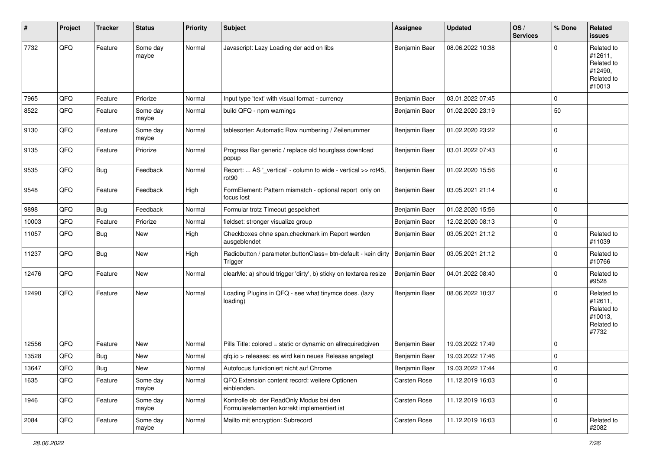| #     | Project | <b>Tracker</b> | <b>Status</b>     | <b>Priority</b> | <b>Subject</b>                                                                         | <b>Assignee</b> | <b>Updated</b>   | OS/<br><b>Services</b> | % Done      | Related<br>issues                                                      |
|-------|---------|----------------|-------------------|-----------------|----------------------------------------------------------------------------------------|-----------------|------------------|------------------------|-------------|------------------------------------------------------------------------|
| 7732  | QFQ     | Feature        | Some day<br>maybe | Normal          | Javascript: Lazy Loading der add on libs                                               | Benjamin Baer   | 08.06.2022 10:38 |                        | 0           | Related to<br>#12611,<br>Related to<br>#12490,<br>Related to<br>#10013 |
| 7965  | QFQ     | Feature        | Priorize          | Normal          | Input type 'text' with visual format - currency                                        | Benjamin Baer   | 03.01.2022 07:45 |                        | 0           |                                                                        |
| 8522  | QFQ     | Feature        | Some day<br>maybe | Normal          | build QFQ - npm warnings                                                               | Benjamin Baer   | 01.02.2020 23:19 |                        | 50          |                                                                        |
| 9130  | QFQ     | Feature        | Some day<br>maybe | Normal          | tablesorter: Automatic Row numbering / Zeilenummer                                     | Benjamin Baer   | 01.02.2020 23:22 |                        | $\Omega$    |                                                                        |
| 9135  | QFQ     | Feature        | Priorize          | Normal          | Progress Bar generic / replace old hourglass download<br>popup                         | Benjamin Baer   | 03.01.2022 07:43 |                        | $\Omega$    |                                                                        |
| 9535  | QFQ     | Bug            | Feedback          | Normal          | Report:  AS '_vertical' - column to wide - vertical >> rot45,<br>rot <sub>90</sub>     | Benjamin Baer   | 01.02.2020 15:56 |                        | $\Omega$    |                                                                        |
| 9548  | QFQ     | Feature        | Feedback          | High            | FormElement: Pattern mismatch - optional report only on<br>focus lost                  | Benjamin Baer   | 03.05.2021 21:14 |                        | $\Omega$    |                                                                        |
| 9898  | QFQ     | Bug            | Feedback          | Normal          | Formular trotz Timeout gespeichert                                                     | Benjamin Baer   | 01.02.2020 15:56 |                        | $\mathbf 0$ |                                                                        |
| 10003 | QFQ     | Feature        | Priorize          | Normal          | fieldset: stronger visualize group                                                     | Benjamin Baer   | 12.02.2020 08:13 |                        | 0           |                                                                        |
| 11057 | QFQ     | Bug            | New               | High            | Checkboxes ohne span.checkmark im Report werden<br>ausgeblendet                        | Benjamin Baer   | 03.05.2021 21:12 |                        | $\Omega$    | Related to<br>#11039                                                   |
| 11237 | QFQ     | <b>Bug</b>     | New               | High            | Radiobutton / parameter.buttonClass= btn-default - kein dirty<br>Trigger               | Benjamin Baer   | 03.05.2021 21:12 |                        | 0           | Related to<br>#10766                                                   |
| 12476 | QFQ     | Feature        | New               | Normal          | clearMe: a) should trigger 'dirty', b) sticky on textarea resize                       | Benjamin Baer   | 04.01.2022 08:40 |                        | $\Omega$    | Related to<br>#9528                                                    |
| 12490 | QFQ     | Feature        | New               | Normal          | Loading Plugins in QFQ - see what tinymce does. (lazy<br>loading)                      | Benjamin Baer   | 08.06.2022 10:37 |                        | $\Omega$    | Related to<br>#12611,<br>Related to<br>#10013,<br>Related to<br>#7732  |
| 12556 | QFQ     | Feature        | <b>New</b>        | Normal          | Pills Title: colored = static or dynamic on allrequiredgiven                           | Benjamin Baer   | 19.03.2022 17:49 |                        | $\Omega$    |                                                                        |
| 13528 | QFQ     | Bug            | <b>New</b>        | Normal          | gfg.io > releases: es wird kein neues Release angelegt                                 | Benjamin Baer   | 19.03.2022 17:46 |                        | $\Omega$    |                                                                        |
| 13647 | QFG     | Bug            | New               | Normal          | Autofocus funktioniert nicht auf Chrome                                                | Benjamin Baer   | 19.03.2022 17:44 |                        | $\pmb{0}$   |                                                                        |
| 1635  | QFQ     | Feature        | Some day<br>maybe | Normal          | QFQ Extension content record: weitere Optionen<br>einblenden.                          | Carsten Rose    | 11.12.2019 16:03 |                        | $\Omega$    |                                                                        |
| 1946  | QFQ     | Feature        | Some day<br>maybe | Normal          | Kontrolle ob der ReadOnly Modus bei den<br>Formularelementen korrekt implementiert ist | Carsten Rose    | 11.12.2019 16:03 |                        | $\mathbf 0$ |                                                                        |
| 2084  | QFQ     | Feature        | Some day<br>maybe | Normal          | Mailto mit encryption: Subrecord                                                       | Carsten Rose    | 11.12.2019 16:03 |                        | 0           | Related to<br>#2082                                                    |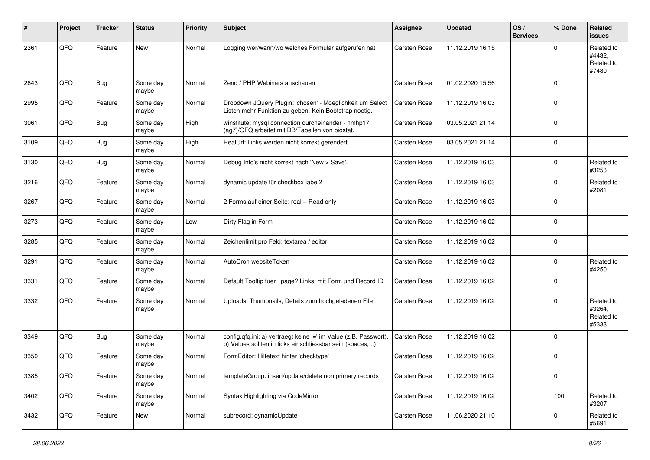| #    | Project | <b>Tracker</b> | <b>Status</b>     | <b>Priority</b> | <b>Subject</b>                                                                                                                | <b>Assignee</b>     | <b>Updated</b>   | OS/<br><b>Services</b> | % Done      | Related<br><b>issues</b>                    |
|------|---------|----------------|-------------------|-----------------|-------------------------------------------------------------------------------------------------------------------------------|---------------------|------------------|------------------------|-------------|---------------------------------------------|
| 2361 | QFQ     | Feature        | New               | Normal          | Logging wer/wann/wo welches Formular aufgerufen hat                                                                           | Carsten Rose        | 11.12.2019 16:15 |                        | 0           | Related to<br>#4432.<br>Related to<br>#7480 |
| 2643 | QFQ     | <b>Bug</b>     | Some day<br>maybe | Normal          | Zend / PHP Webinars anschauen                                                                                                 | <b>Carsten Rose</b> | 01.02.2020 15:56 |                        | $\Omega$    |                                             |
| 2995 | QFQ     | Feature        | Some day<br>maybe | Normal          | Dropdown JQuery Plugin: 'chosen' - Moeglichkeit um Select<br>Listen mehr Funktion zu geben. Kein Bootstrap noetig.            | <b>Carsten Rose</b> | 11.12.2019 16:03 |                        | $\Omega$    |                                             |
| 3061 | QFQ     | Bug            | Some day<br>maybe | High            | winstitute: mysql connection durcheinander - nmhp17<br>(ag7)/QFQ arbeitet mit DB/Tabellen von biostat.                        | <b>Carsten Rose</b> | 03.05.2021 21:14 |                        | $\mathbf 0$ |                                             |
| 3109 | QFQ     | Bug            | Some day<br>maybe | High            | RealUrl: Links werden nicht korrekt gerendert                                                                                 | Carsten Rose        | 03.05.2021 21:14 |                        | $\Omega$    |                                             |
| 3130 | QFQ     | Bug            | Some day<br>maybe | Normal          | Debug Info's nicht korrekt nach 'New > Save'.                                                                                 | Carsten Rose        | 11.12.2019 16:03 |                        | $\Omega$    | Related to<br>#3253                         |
| 3216 | QFQ     | Feature        | Some day<br>maybe | Normal          | dynamic update für checkbox label2                                                                                            | <b>Carsten Rose</b> | 11.12.2019 16:03 |                        | $\Omega$    | Related to<br>#2081                         |
| 3267 | QFQ     | Feature        | Some day<br>maybe | Normal          | 2 Forms auf einer Seite: real + Read only                                                                                     | Carsten Rose        | 11.12.2019 16:03 |                        | $\Omega$    |                                             |
| 3273 | QFQ     | Feature        | Some day<br>maybe | Low             | Dirty Flag in Form                                                                                                            | <b>Carsten Rose</b> | 11.12.2019 16:02 |                        | $\Omega$    |                                             |
| 3285 | QFQ     | Feature        | Some day<br>maybe | Normal          | Zeichenlimit pro Feld: textarea / editor                                                                                      | <b>Carsten Rose</b> | 11.12.2019 16:02 |                        | $\mathbf 0$ |                                             |
| 3291 | QFQ     | Feature        | Some day<br>maybe | Normal          | AutoCron websiteToken                                                                                                         | <b>Carsten Rose</b> | 11.12.2019 16:02 |                        | $\mathbf 0$ | Related to<br>#4250                         |
| 3331 | QFQ     | Feature        | Some day<br>maybe | Normal          | Default Tooltip fuer _page? Links: mit Form und Record ID                                                                     | <b>Carsten Rose</b> | 11.12.2019 16:02 |                        | $\Omega$    |                                             |
| 3332 | QFQ     | Feature        | Some day<br>maybe | Normal          | Uploads: Thumbnails, Details zum hochgeladenen File                                                                           | <b>Carsten Rose</b> | 11.12.2019 16:02 |                        | $\Omega$    | Related to<br>#3264,<br>Related to<br>#5333 |
| 3349 | QFQ     | Bug            | Some day<br>maybe | Normal          | config.qfq.ini: a) vertraegt keine '=' im Value (z.B. Passwort),<br>b) Values sollten in ticks einschliessbar sein (spaces, ) | <b>Carsten Rose</b> | 11.12.2019 16:02 |                        | $\mathbf 0$ |                                             |
| 3350 | QFQ     | Feature        | Some day<br>maybe | Normal          | FormEditor: Hilfetext hinter 'checktype'                                                                                      | <b>Carsten Rose</b> | 11.12.2019 16:02 |                        | $\Omega$    |                                             |
| 3385 | QFQ     | Feature        | Some day<br>maybe | Normal          | templateGroup: insert/update/delete non primary records                                                                       | Carsten Rose        | 11.12.2019 16:02 |                        | $\mathbf 0$ |                                             |
| 3402 | QFQ     | Feature        | Some day<br>maybe | Normal          | Syntax Highlighting via CodeMirror                                                                                            | Carsten Rose        | 11.12.2019 16:02 |                        | 100         | Related to<br>#3207                         |
| 3432 | QFQ     | Feature        | New               | Normal          | subrecord: dynamicUpdate                                                                                                      | Carsten Rose        | 11.06.2020 21:10 |                        | $\mathbf 0$ | Related to<br>#5691                         |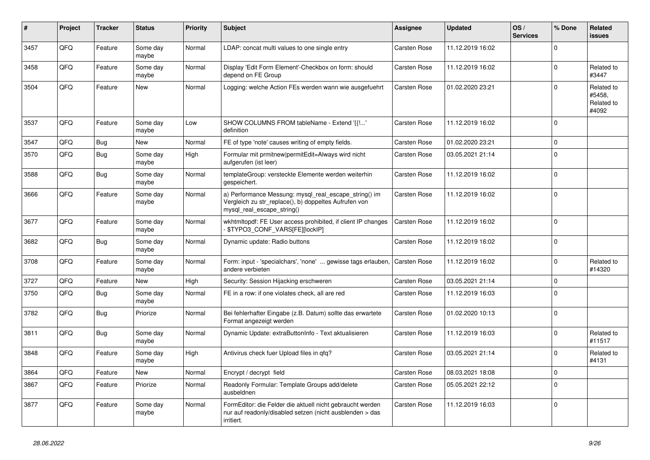| ∦    | Project | <b>Tracker</b> | <b>Status</b>     | <b>Priority</b> | <b>Subject</b>                                                                                                                               | <b>Assignee</b>     | <b>Updated</b>   | OS/<br><b>Services</b> | % Done   | <b>Related</b><br><b>issues</b>             |
|------|---------|----------------|-------------------|-----------------|----------------------------------------------------------------------------------------------------------------------------------------------|---------------------|------------------|------------------------|----------|---------------------------------------------|
| 3457 | QFQ     | Feature        | Some day<br>maybe | Normal          | LDAP: concat multi values to one single entry                                                                                                | <b>Carsten Rose</b> | 11.12.2019 16:02 |                        | $\Omega$ |                                             |
| 3458 | QFQ     | Feature        | Some day<br>maybe | Normal          | Display 'Edit Form Element'-Checkbox on form: should<br>depend on FE Group                                                                   | <b>Carsten Rose</b> | 11.12.2019 16:02 |                        | $\Omega$ | Related to<br>#3447                         |
| 3504 | QFQ     | Feature        | New               | Normal          | Logging: welche Action FEs werden wann wie ausgefuehrt                                                                                       | Carsten Rose        | 01.02.2020 23:21 |                        | $\Omega$ | Related to<br>#5458,<br>Related to<br>#4092 |
| 3537 | QFQ     | Feature        | Some day<br>maybe | Low             | SHOW COLUMNS FROM tableName - Extend '{{!'<br>definition                                                                                     | <b>Carsten Rose</b> | 11.12.2019 16:02 |                        | $\Omega$ |                                             |
| 3547 | QFQ     | Bug            | <b>New</b>        | Normal          | FE of type 'note' causes writing of empty fields.                                                                                            | <b>Carsten Rose</b> | 01.02.2020 23:21 |                        | $\Omega$ |                                             |
| 3570 | QFQ     | Bug            | Some day<br>maybe | High            | Formular mit prmitnew permitEdit=Always wird nicht<br>aufgerufen (ist leer)                                                                  | <b>Carsten Rose</b> | 03.05.2021 21:14 |                        | $\Omega$ |                                             |
| 3588 | QFQ     | <b>Bug</b>     | Some day<br>maybe | Normal          | templateGroup: versteckte Elemente werden weiterhin<br>gespeichert.                                                                          | Carsten Rose        | 11.12.2019 16:02 |                        | $\Omega$ |                                             |
| 3666 | QFQ     | Feature        | Some day<br>maybe | Normal          | a) Performance Messung: mysql_real_escape_string() im<br>Vergleich zu str_replace(), b) doppeltes Aufrufen von<br>mysql_real_escape_string() | Carsten Rose        | 11.12.2019 16:02 |                        | $\Omega$ |                                             |
| 3677 | QFQ     | Feature        | Some day<br>maybe | Normal          | wkhtmltopdf: FE User access prohibited, if client IP changes<br>\$TYPO3_CONF_VARS[FE][lockIP]                                                | <b>Carsten Rose</b> | 11.12.2019 16:02 |                        | $\Omega$ |                                             |
| 3682 | QFQ     | Bug            | Some day<br>maybe | Normal          | Dynamic update: Radio buttons                                                                                                                | Carsten Rose        | 11.12.2019 16:02 |                        | $\Omega$ |                                             |
| 3708 | QFQ     | Feature        | Some day<br>maybe | Normal          | Form: input - 'specialchars', 'none'  gewisse tags erlauben.<br>andere verbieten                                                             | <b>Carsten Rose</b> | 11.12.2019 16:02 |                        | $\Omega$ | Related to<br>#14320                        |
| 3727 | QFQ     | Feature        | New               | High            | Security: Session Hijacking erschweren                                                                                                       | <b>Carsten Rose</b> | 03.05.2021 21:14 |                        | $\Omega$ |                                             |
| 3750 | QFQ     | Bug            | Some day<br>maybe | Normal          | FE in a row: if one violates check, all are red                                                                                              | <b>Carsten Rose</b> | 11.12.2019 16:03 |                        | $\Omega$ |                                             |
| 3782 | QFQ     | Bug            | Priorize          | Normal          | Bei fehlerhafter Eingabe (z.B. Datum) sollte das erwartete<br>Format angezeigt werden                                                        | <b>Carsten Rose</b> | 01.02.2020 10:13 |                        | $\Omega$ |                                             |
| 3811 | QFQ     | Bug            | Some day<br>maybe | Normal          | Dynamic Update: extraButtonInfo - Text aktualisieren                                                                                         | <b>Carsten Rose</b> | 11.12.2019 16:03 |                        | 0        | Related to<br>#11517                        |
| 3848 | QFQ     | Feature        | Some day<br>maybe | High            | Antivirus check fuer Upload files in qfq?                                                                                                    | <b>Carsten Rose</b> | 03.05.2021 21:14 |                        | $\Omega$ | Related to<br>#4131                         |
| 3864 | QFQ     | Feature        | New               | Normal          | Encrypt / decrypt field                                                                                                                      | Carsten Rose        | 08.03.2021 18:08 |                        | $\Omega$ |                                             |
| 3867 | QFQ     | Feature        | Priorize          | Normal          | Readonly Formular: Template Groups add/delete<br>ausbeldnen                                                                                  | Carsten Rose        | 05.05.2021 22:12 |                        | $\Omega$ |                                             |
| 3877 | QFQ     | Feature        | Some day<br>maybe | Normal          | FormEditor: die Felder die aktuell nicht gebraucht werden<br>nur auf readonly/disabled setzen (nicht ausblenden > das<br>irritiert.          | <b>Carsten Rose</b> | 11.12.2019 16:03 |                        | $\Omega$ |                                             |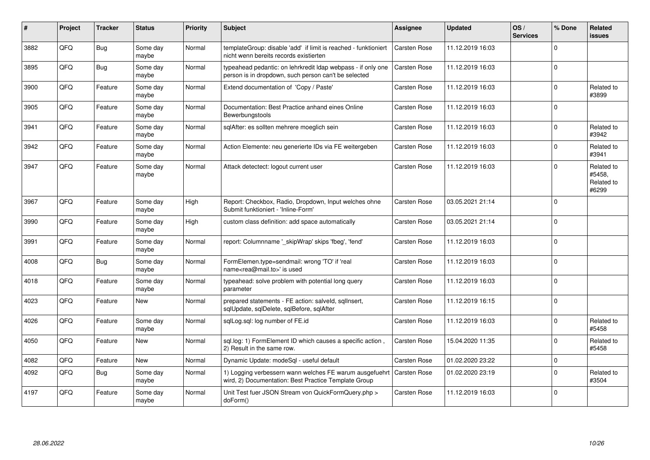| #    | Project | <b>Tracker</b> | <b>Status</b>     | <b>Priority</b> | <b>Subject</b>                                                                                                       | <b>Assignee</b>     | <b>Updated</b>   | OS/<br><b>Services</b> | % Done   | Related<br><b>issues</b>                    |
|------|---------|----------------|-------------------|-----------------|----------------------------------------------------------------------------------------------------------------------|---------------------|------------------|------------------------|----------|---------------------------------------------|
| 3882 | QFQ     | Bug            | Some day<br>maybe | Normal          | templateGroup: disable 'add' if limit is reached - funktioniert<br>nicht wenn bereits records existierten            | <b>Carsten Rose</b> | 11.12.2019 16:03 |                        | $\Omega$ |                                             |
| 3895 | QFQ     | <b>Bug</b>     | Some day<br>maybe | Normal          | typeahead pedantic: on lehrkredit Idap webpass - if only one<br>person is in dropdown, such person can't be selected | Carsten Rose        | 11.12.2019 16:03 |                        | $\Omega$ |                                             |
| 3900 | QFQ     | Feature        | Some day<br>maybe | Normal          | Extend documentation of 'Copy / Paste'                                                                               | <b>Carsten Rose</b> | 11.12.2019 16:03 |                        | $\Omega$ | Related to<br>#3899                         |
| 3905 | QFQ     | Feature        | Some day<br>maybe | Normal          | Documentation: Best Practice anhand eines Online<br>Bewerbungstools                                                  | <b>Carsten Rose</b> | 11.12.2019 16:03 |                        | $\Omega$ |                                             |
| 3941 | QFQ     | Feature        | Some day<br>maybe | Normal          | sqlAfter: es sollten mehrere moeglich sein                                                                           | Carsten Rose        | 11.12.2019 16:03 |                        | $\Omega$ | Related to<br>#3942                         |
| 3942 | QFQ     | Feature        | Some day<br>maybe | Normal          | Action Elemente: neu generierte IDs via FE weitergeben                                                               | <b>Carsten Rose</b> | 11.12.2019 16:03 |                        | $\Omega$ | Related to<br>#3941                         |
| 3947 | QFQ     | Feature        | Some day<br>maybe | Normal          | Attack detectect: logout current user                                                                                | <b>Carsten Rose</b> | 11.12.2019 16:03 |                        | $\Omega$ | Related to<br>#5458,<br>Related to<br>#6299 |
| 3967 | QFQ     | Feature        | Some day<br>maybe | High            | Report: Checkbox, Radio, Dropdown, Input welches ohne<br>Submit funktioniert - 'Inline-Form'                         | <b>Carsten Rose</b> | 03.05.2021 21:14 |                        | $\Omega$ |                                             |
| 3990 | QFQ     | Feature        | Some day<br>maybe | High            | custom class definition: add space automatically                                                                     | Carsten Rose        | 03.05.2021 21:14 |                        | $\Omega$ |                                             |
| 3991 | QFQ     | Feature        | Some day<br>maybe | Normal          | report: Columnname '_skipWrap' skips 'fbeg', 'fend'                                                                  | Carsten Rose        | 11.12.2019 16:03 |                        | $\Omega$ |                                             |
| 4008 | QFQ     | <b>Bug</b>     | Some day<br>maybe | Normal          | FormElemen.type=sendmail: wrong 'TO' if 'real<br>name <rea@mail.to>' is used</rea@mail.to>                           | <b>Carsten Rose</b> | 11.12.2019 16:03 |                        | $\Omega$ |                                             |
| 4018 | QFQ     | Feature        | Some day<br>maybe | Normal          | typeahead: solve problem with potential long query<br>parameter                                                      | <b>Carsten Rose</b> | 11.12.2019 16:03 |                        | $\Omega$ |                                             |
| 4023 | QFQ     | Feature        | <b>New</b>        | Normal          | prepared statements - FE action: salveld, sgllnsert,<br>sqlUpdate, sqlDelete, sqlBefore, sqlAfter                    | <b>Carsten Rose</b> | 11.12.2019 16:15 |                        | $\Omega$ |                                             |
| 4026 | QFQ     | Feature        | Some day<br>maybe | Normal          | sglLog.sgl: log number of FE.id                                                                                      | <b>Carsten Rose</b> | 11.12.2019 16:03 |                        | $\Omega$ | Related to<br>#5458                         |
| 4050 | QFQ     | Feature        | New               | Normal          | sql.log: 1) FormElement ID which causes a specific action,<br>2) Result in the same row.                             | <b>Carsten Rose</b> | 15.04.2020 11:35 |                        | $\Omega$ | Related to<br>#5458                         |
| 4082 | QFQ     | Feature        | <b>New</b>        | Normal          | Dynamic Update: modeSql - useful default                                                                             | <b>Carsten Rose</b> | 01.02.2020 23:22 |                        | $\Omega$ |                                             |
| 4092 | QFQ     | Bug            | Some day<br>maybe | Normal          | 1) Logging verbessern wann welches FE warum ausgefuehrt<br>wird, 2) Documentation: Best Practice Template Group      | <b>Carsten Rose</b> | 01.02.2020 23:19 |                        | $\Omega$ | Related to<br>#3504                         |
| 4197 | QFQ     | Feature        | Some day<br>maybe | Normal          | Unit Test fuer JSON Stream von QuickFormQuery.php ><br>doForm()                                                      | <b>Carsten Rose</b> | 11.12.2019 16:03 |                        | $\Omega$ |                                             |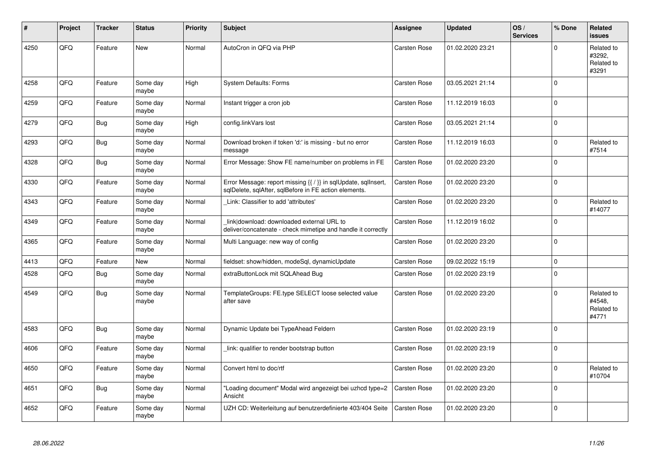| #    | Project | <b>Tracker</b> | <b>Status</b>     | <b>Priority</b> | <b>Subject</b>                                                                                                          | <b>Assignee</b>     | <b>Updated</b>   | OS/<br><b>Services</b> | % Done      | Related<br><b>issues</b>                    |
|------|---------|----------------|-------------------|-----------------|-------------------------------------------------------------------------------------------------------------------------|---------------------|------------------|------------------------|-------------|---------------------------------------------|
| 4250 | QFQ     | Feature        | <b>New</b>        | Normal          | AutoCron in QFQ via PHP                                                                                                 | <b>Carsten Rose</b> | 01.02.2020 23:21 |                        | $\Omega$    | Related to<br>#3292,<br>Related to<br>#3291 |
| 4258 | QFQ     | Feature        | Some day<br>maybe | High            | <b>System Defaults: Forms</b>                                                                                           | Carsten Rose        | 03.05.2021 21:14 |                        | $\Omega$    |                                             |
| 4259 | QFQ     | Feature        | Some day<br>maybe | Normal          | Instant trigger a cron job                                                                                              | Carsten Rose        | 11.12.2019 16:03 |                        | $\Omega$    |                                             |
| 4279 | QFQ     | Bug            | Some day<br>maybe | High            | config.linkVars lost                                                                                                    | <b>Carsten Rose</b> | 03.05.2021 21:14 |                        | $\Omega$    |                                             |
| 4293 | QFQ     | <b>Bug</b>     | Some day<br>maybe | Normal          | Download broken if token 'd:' is missing - but no error<br>message                                                      | <b>Carsten Rose</b> | 11.12.2019 16:03 |                        | $\Omega$    | Related to<br>#7514                         |
| 4328 | QFQ     | <b>Bug</b>     | Some day<br>maybe | Normal          | Error Message: Show FE name/number on problems in FE                                                                    | <b>Carsten Rose</b> | 01.02.2020 23:20 |                        | $\Omega$    |                                             |
| 4330 | QFQ     | Feature        | Some day<br>maybe | Normal          | Error Message: report missing {{ / }} in sqlUpdate, sqlInsert,<br>sqlDelete, sqlAfter, sqlBefore in FE action elements. | <b>Carsten Rose</b> | 01.02.2020 23:20 |                        | 0           |                                             |
| 4343 | QFQ     | Feature        | Some day<br>maybe | Normal          | Link: Classifier to add 'attributes'                                                                                    | <b>Carsten Rose</b> | 01.02.2020 23:20 |                        | $\Omega$    | Related to<br>#14077                        |
| 4349 | QFQ     | Feature        | Some day<br>maybe | Normal          | link download: downloaded external URL to<br>deliver/concatenate - check mimetipe and handle it correctly               | <b>Carsten Rose</b> | 11.12.2019 16:02 |                        | $\Omega$    |                                             |
| 4365 | QFQ     | Feature        | Some day<br>maybe | Normal          | Multi Language: new way of config                                                                                       | Carsten Rose        | 01.02.2020 23:20 |                        | $\Omega$    |                                             |
| 4413 | QFQ     | Feature        | <b>New</b>        | Normal          | fieldset: show/hidden, modeSql, dynamicUpdate                                                                           | <b>Carsten Rose</b> | 09.02.2022 15:19 |                        | $\mathbf 0$ |                                             |
| 4528 | QFQ     | Bug            | Some day<br>maybe | Normal          | extraButtonLock mit SQLAhead Bug                                                                                        | <b>Carsten Rose</b> | 01.02.2020 23:19 |                        | $\Omega$    |                                             |
| 4549 | QFQ     | Bug            | Some day<br>maybe | Normal          | TemplateGroups: FE.type SELECT loose selected value<br>after save                                                       | <b>Carsten Rose</b> | 01.02.2020 23:20 |                        | $\Omega$    | Related to<br>#4548,<br>Related to<br>#4771 |
| 4583 | QFQ     | Bug            | Some day<br>maybe | Normal          | Dynamic Update bei TypeAhead Feldern                                                                                    | <b>Carsten Rose</b> | 01.02.2020 23:19 |                        | $\Omega$    |                                             |
| 4606 | QFQ     | Feature        | Some day<br>maybe | Normal          | link: qualifier to render bootstrap button                                                                              | <b>Carsten Rose</b> | 01.02.2020 23:19 |                        | $\Omega$    |                                             |
| 4650 | QFQ     | Feature        | Some day<br>maybe | Normal          | Convert html to doc/rtf                                                                                                 | Carsten Rose        | 01.02.2020 23:20 |                        | $\Omega$    | Related to<br>#10704                        |
| 4651 | QFQ     | Bug            | Some day<br>maybe | Normal          | Loading document" Modal wird angezeigt bei uzhcd type=2<br>Ansicht                                                      | <b>Carsten Rose</b> | 01.02.2020 23:20 |                        | $\mathbf 0$ |                                             |
| 4652 | QFQ     | Feature        | Some day<br>maybe | Normal          | UZH CD: Weiterleitung auf benutzerdefinierte 403/404 Seite                                                              | <b>Carsten Rose</b> | 01.02.2020 23:20 |                        | $\Omega$    |                                             |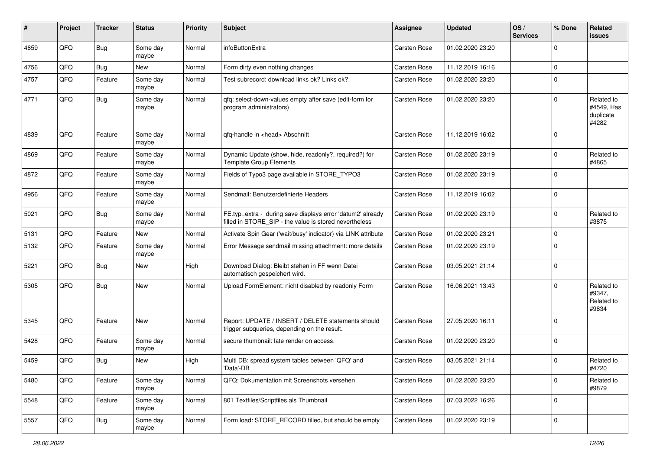| #    | Project | <b>Tracker</b> | <b>Status</b>     | <b>Priority</b> | Subject                                                                                                              | <b>Assignee</b>     | <b>Updated</b>   | OS/<br><b>Services</b> | % Done      | Related<br><b>issues</b>                       |
|------|---------|----------------|-------------------|-----------------|----------------------------------------------------------------------------------------------------------------------|---------------------|------------------|------------------------|-------------|------------------------------------------------|
| 4659 | QFQ     | <b>Bug</b>     | Some day<br>maybe | Normal          | infoButtonExtra                                                                                                      | <b>Carsten Rose</b> | 01.02.2020 23:20 |                        | $\mathbf 0$ |                                                |
| 4756 | QFQ     | <b>Bug</b>     | New               | Normal          | Form dirty even nothing changes                                                                                      | <b>Carsten Rose</b> | 11.12.2019 16:16 |                        | $\mathbf 0$ |                                                |
| 4757 | QFQ     | Feature        | Some day<br>maybe | Normal          | Test subrecord: download links ok? Links ok?                                                                         | <b>Carsten Rose</b> | 01.02.2020 23:20 |                        | $\mathbf 0$ |                                                |
| 4771 | QFQ     | Bug            | Some day<br>maybe | Normal          | qfq: select-down-values empty after save (edit-form for<br>program administrators)                                   | <b>Carsten Rose</b> | 01.02.2020 23:20 |                        | $\mathbf 0$ | Related to<br>#4549, Has<br>duplicate<br>#4282 |
| 4839 | QFQ     | Feature        | Some day<br>maybe | Normal          | qfq-handle in <head> Abschnitt</head>                                                                                | <b>Carsten Rose</b> | 11.12.2019 16:02 |                        | $\mathbf 0$ |                                                |
| 4869 | QFQ     | Feature        | Some day<br>maybe | Normal          | Dynamic Update (show, hide, readonly?, required?) for<br><b>Template Group Elements</b>                              | <b>Carsten Rose</b> | 01.02.2020 23:19 |                        | $\Omega$    | Related to<br>#4865                            |
| 4872 | QFQ     | Feature        | Some day<br>maybe | Normal          | Fields of Typo3 page available in STORE_TYPO3                                                                        | <b>Carsten Rose</b> | 01.02.2020 23:19 |                        | $\mathbf 0$ |                                                |
| 4956 | QFQ     | Feature        | Some day<br>maybe | Normal          | Sendmail: Benutzerdefinierte Headers                                                                                 | <b>Carsten Rose</b> | 11.12.2019 16:02 |                        | $\mathbf 0$ |                                                |
| 5021 | QFQ     | <b>Bug</b>     | Some day<br>maybe | Normal          | FE.typ=extra - during save displays error 'datum2' already<br>filled in STORE_SIP - the value is stored nevertheless | <b>Carsten Rose</b> | 01.02.2020 23:19 |                        | $\mathbf 0$ | Related to<br>#3875                            |
| 5131 | QFQ     | Feature        | New               | Normal          | Activate Spin Gear ('wait/busy' indicator) via LINK attribute                                                        | <b>Carsten Rose</b> | 01.02.2020 23:21 |                        | $\mathbf 0$ |                                                |
| 5132 | QFQ     | Feature        | Some day<br>maybe | Normal          | Error Message sendmail missing attachment: more details                                                              | <b>Carsten Rose</b> | 01.02.2020 23:19 |                        | $\mathbf 0$ |                                                |
| 5221 | QFQ     | Bug            | <b>New</b>        | High            | Download Dialog: Bleibt stehen in FF wenn Datei<br>automatisch gespeichert wird.                                     | <b>Carsten Rose</b> | 03.05.2021 21:14 |                        | $\mathbf 0$ |                                                |
| 5305 | QFQ     | Bug            | New               | Normal          | Upload FormElement: nicht disabled by readonly Form                                                                  | <b>Carsten Rose</b> | 16.06.2021 13:43 |                        | $\mathbf 0$ | Related to<br>#9347,<br>Related to<br>#9834    |
| 5345 | QFQ     | Feature        | New               | Normal          | Report: UPDATE / INSERT / DELETE statements should<br>trigger subqueries, depending on the result.                   | <b>Carsten Rose</b> | 27.05.2020 16:11 |                        | $\mathbf 0$ |                                                |
| 5428 | QFQ     | Feature        | Some day<br>maybe | Normal          | secure thumbnail: late render on access.                                                                             | <b>Carsten Rose</b> | 01.02.2020 23:20 |                        | $\mathbf 0$ |                                                |
| 5459 | QFQ     | <b>Bug</b>     | New               | High            | Multi DB: spread system tables between 'QFQ' and<br>'Data'-DB                                                        | <b>Carsten Rose</b> | 03.05.2021 21:14 |                        | $\mathbf 0$ | Related to<br>#4720                            |
| 5480 | QFQ     | Feature        | Some day<br>maybe | Normal          | QFQ: Dokumentation mit Screenshots versehen                                                                          | Carsten Rose        | 01.02.2020 23:20 |                        | $\mathbf 0$ | Related to<br>#9879                            |
| 5548 | QFQ     | Feature        | Some day<br>maybe | Normal          | 801 Textfiles/Scriptfiles als Thumbnail                                                                              | <b>Carsten Rose</b> | 07.03.2022 16:26 |                        | $\mathbf 0$ |                                                |
| 5557 | QFG     | <b>Bug</b>     | Some day<br>maybe | Normal          | Form load: STORE_RECORD filled, but should be empty                                                                  | Carsten Rose        | 01.02.2020 23:19 |                        | $\mathbf 0$ |                                                |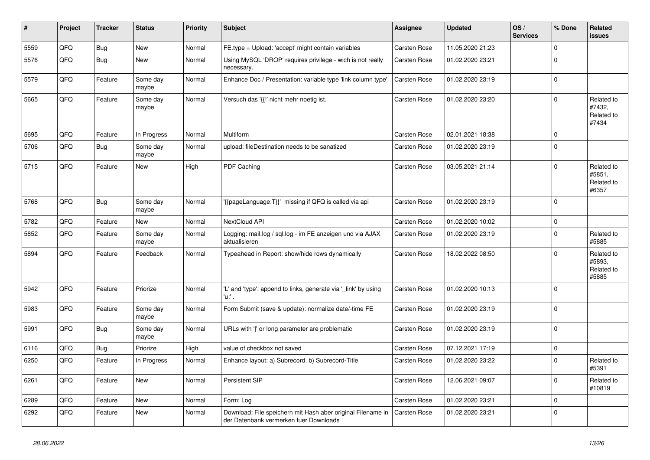| ∦    | Project | <b>Tracker</b> | <b>Status</b>     | <b>Priority</b> | Subject                                                                                               | <b>Assignee</b>     | <b>Updated</b>   | OS/<br><b>Services</b> | % Done      | Related<br>issues                           |
|------|---------|----------------|-------------------|-----------------|-------------------------------------------------------------------------------------------------------|---------------------|------------------|------------------------|-------------|---------------------------------------------|
| 5559 | QFQ     | Bug            | <b>New</b>        | Normal          | FE.type = Upload: 'accept' might contain variables                                                    | Carsten Rose        | 11.05.2020 21:23 |                        | $\Omega$    |                                             |
| 5576 | QFQ     | Bug            | <b>New</b>        | Normal          | Using MySQL 'DROP' requires privilege - wich is not really<br>necessary.                              | <b>Carsten Rose</b> | 01.02.2020 23:21 |                        | $\Omega$    |                                             |
| 5579 | QFQ     | Feature        | Some day<br>maybe | Normal          | Enhance Doc / Presentation: variable type 'link column type'                                          | <b>Carsten Rose</b> | 01.02.2020 23:19 |                        | $\Omega$    |                                             |
| 5665 | QFQ     | Feature        | Some day<br>maybe | Normal          | Versuch das '{{!' nicht mehr noetig ist.                                                              | <b>Carsten Rose</b> | 01.02.2020 23:20 |                        | $\Omega$    | Related to<br>#7432,<br>Related to<br>#7434 |
| 5695 | QFQ     | Feature        | In Progress       | Normal          | Multiform                                                                                             | <b>Carsten Rose</b> | 02.01.2021 18:38 |                        | $\mathbf 0$ |                                             |
| 5706 | QFQ     | Bug            | Some day<br>maybe | Normal          | upload: fileDestination needs to be sanatized                                                         | Carsten Rose        | 01.02.2020 23:19 |                        | $\Omega$    |                                             |
| 5715 | QFQ     | Feature        | <b>New</b>        | High            | PDF Caching                                                                                           | <b>Carsten Rose</b> | 03.05.2021 21:14 |                        | $\Omega$    | Related to<br>#5851,<br>Related to<br>#6357 |
| 5768 | QFQ     | Bug            | Some day<br>maybe | Normal          | '{{pageLanguage:T}}' missing if QFQ is called via api                                                 | <b>Carsten Rose</b> | 01.02.2020 23:19 |                        | $\Omega$    |                                             |
| 5782 | QFQ     | Feature        | <b>New</b>        | Normal          | NextCloud API                                                                                         | <b>Carsten Rose</b> | 01.02.2020 10:02 |                        | $\Omega$    |                                             |
| 5852 | QFQ     | Feature        | Some day<br>maybe | Normal          | Logging: mail.log / sql.log - im FE anzeigen und via AJAX<br>aktualisieren                            | Carsten Rose        | 01.02.2020 23:19 |                        | $\Omega$    | Related to<br>#5885                         |
| 5894 | QFQ     | Feature        | Feedback          | Normal          | Typeahead in Report: show/hide rows dynamically                                                       | <b>Carsten Rose</b> | 18.02.2022 08:50 |                        | $\Omega$    | Related to<br>#5893,<br>Related to<br>#5885 |
| 5942 | QFQ     | Feature        | Priorize          | Normal          | 'L' and 'type': append to links, generate via '_link' by using<br>'u:' .                              | <b>Carsten Rose</b> | 01.02.2020 10:13 |                        | $\mathbf 0$ |                                             |
| 5983 | QFQ     | Feature        | Some day<br>maybe | Normal          | Form Submit (save & update): normalize date/-time FE                                                  | <b>Carsten Rose</b> | 01.02.2020 23:19 |                        | $\Omega$    |                                             |
| 5991 | QFQ     | Bug            | Some day<br>maybe | Normal          | URLs with ' ' or long parameter are problematic                                                       | <b>Carsten Rose</b> | 01.02.2020 23:19 |                        | $\Omega$    |                                             |
| 6116 | QFQ     | Bug            | Priorize          | High            | value of checkbox not saved                                                                           | <b>Carsten Rose</b> | 07.12.2021 17:19 |                        | $\Omega$    |                                             |
| 6250 | QFQ     | Feature        | In Progress       | Normal          | Enhance layout: a) Subrecord, b) Subrecord-Title                                                      | <b>Carsten Rose</b> | 01.02.2020 23:22 |                        | $\Omega$    | Related to<br>#5391                         |
| 6261 | QFQ     | Feature        | New               | Normal          | Persistent SIP                                                                                        | Carsten Rose        | 12.06.2021 09:07 |                        | $\Omega$    | Related to<br>#10819                        |
| 6289 | QFQ     | Feature        | <b>New</b>        | Normal          | Form: Log                                                                                             | Carsten Rose        | 01.02.2020 23:21 |                        | $\mathbf 0$ |                                             |
| 6292 | QFQ     | Feature        | New               | Normal          | Download: File speichern mit Hash aber original Filename in<br>der Datenbank vermerken fuer Downloads | Carsten Rose        | 01.02.2020 23:21 |                        | $\mathbf 0$ |                                             |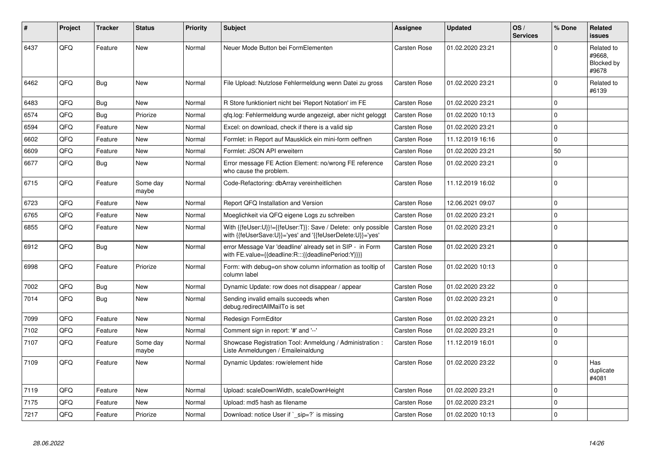| #    | Project | <b>Tracker</b> | <b>Status</b>     | <b>Priority</b> | <b>Subject</b>                                                                                                             | Assignee            | <b>Updated</b>   | OS/<br><b>Services</b> | % Done      | <b>Related</b><br><b>issues</b>             |
|------|---------|----------------|-------------------|-----------------|----------------------------------------------------------------------------------------------------------------------------|---------------------|------------------|------------------------|-------------|---------------------------------------------|
| 6437 | QFQ     | Feature        | <b>New</b>        | Normal          | Neuer Mode Button bei FormElementen                                                                                        | <b>Carsten Rose</b> | 01.02.2020 23:21 |                        | $\Omega$    | Related to<br>#9668.<br>Blocked by<br>#9678 |
| 6462 | QFQ     | Bug            | <b>New</b>        | Normal          | File Upload: Nutzlose Fehlermeldung wenn Datei zu gross                                                                    | Carsten Rose        | 01.02.2020 23:21 |                        | $\Omega$    | Related to<br>#6139                         |
| 6483 | QFQ     | <b>Bug</b>     | <b>New</b>        | Normal          | R Store funktioniert nicht bei 'Report Notation' im FE                                                                     | Carsten Rose        | 01.02.2020 23:21 |                        | $\Omega$    |                                             |
| 6574 | QFQ     | Bug            | Priorize          | Normal          | gfg.log: Fehlermeldung wurde angezeigt, aber nicht geloggt                                                                 | Carsten Rose        | 01.02.2020 10:13 |                        | $\mathbf 0$ |                                             |
| 6594 | QFQ     | Feature        | <b>New</b>        | Normal          | Excel: on download, check if there is a valid sip                                                                          | Carsten Rose        | 01.02.2020 23:21 |                        | $\Omega$    |                                             |
| 6602 | QFQ     | Feature        | <b>New</b>        | Normal          | Formlet: in Report auf Mausklick ein mini-form oeffnen                                                                     | <b>Carsten Rose</b> | 11.12.2019 16:16 |                        | $\Omega$    |                                             |
| 6609 | QFQ     | Feature        | New               | Normal          | Formlet: JSON API erweitern                                                                                                | Carsten Rose        | 01.02.2020 23:21 |                        | 50          |                                             |
| 6677 | QFQ     | <b>Bug</b>     | New               | Normal          | Error message FE Action Element: no/wrong FE reference<br>who cause the problem.                                           | <b>Carsten Rose</b> | 01.02.2020 23:21 |                        | $\Omega$    |                                             |
| 6715 | QFQ     | Feature        | Some day<br>maybe | Normal          | Code-Refactoring: dbArray vereinheitlichen                                                                                 | <b>Carsten Rose</b> | 11.12.2019 16:02 |                        | $\Omega$    |                                             |
| 6723 | QFQ     | Feature        | <b>New</b>        | Normal          | Report QFQ Installation and Version                                                                                        | <b>Carsten Rose</b> | 12.06.2021 09:07 |                        | $\mathbf 0$ |                                             |
| 6765 | QFQ     | Feature        | <b>New</b>        | Normal          | Moeglichkeit via QFQ eigene Logs zu schreiben                                                                              | Carsten Rose        | 01.02.2020 23:21 |                        | $\Omega$    |                                             |
| 6855 | QFQ     | Feature        | <b>New</b>        | Normal          | With {{feUser:U}}!={{feUser:T}}: Save / Delete: only possible<br>with {{feUserSave:U}}='yes' and '{{feUserDelete:U}}='yes' | <b>Carsten Rose</b> | 01.02.2020 23:21 |                        | $\Omega$    |                                             |
| 6912 | QFQ     | Bug            | New               | Normal          | error Message Var 'deadline' already set in SIP - in Form<br>with FE.value={{deadline:R:::{{deadlinePeriod:Y}}}}           | Carsten Rose        | 01.02.2020 23:21 |                        | $\Omega$    |                                             |
| 6998 | QFQ     | Feature        | Priorize          | Normal          | Form: with debug=on show column information as tooltip of<br>column label                                                  | Carsten Rose        | 01.02.2020 10:13 |                        | $\Omega$    |                                             |
| 7002 | QFQ     | <b>Bug</b>     | <b>New</b>        | Normal          | Dynamic Update: row does not disappear / appear                                                                            | <b>Carsten Rose</b> | 01.02.2020 23:22 |                        | $\mathbf 0$ |                                             |
| 7014 | QFQ     | Bug            | <b>New</b>        | Normal          | Sending invalid emails succeeds when<br>debug.redirectAllMailTo is set                                                     | Carsten Rose        | 01.02.2020 23:21 |                        | $\Omega$    |                                             |
| 7099 | QFQ     | Feature        | <b>New</b>        | Normal          | Redesign FormEditor                                                                                                        | Carsten Rose        | 01.02.2020 23:21 |                        | $\Omega$    |                                             |
| 7102 | QFQ     | Feature        | New               | Normal          | Comment sign in report: '#' and '--'                                                                                       | Carsten Rose        | 01.02.2020 23:21 |                        | $\mathbf 0$ |                                             |
| 7107 | QFQ     | Feature        | Some day<br>maybe | Normal          | Showcase Registration Tool: Anmeldung / Administration :<br>Liste Anmeldungen / Emaileinaldung                             | <b>Carsten Rose</b> | 11.12.2019 16:01 |                        | $\Omega$    |                                             |
| 7109 | QFQ     | Feature        | <b>New</b>        | Normal          | Dynamic Updates: row/element hide                                                                                          | Carsten Rose        | 01.02.2020 23:22 |                        | $\Omega$    | Has<br>duplicate<br>#4081                   |
| 7119 | QFQ     | Feature        | <b>New</b>        | Normal          | Upload: scaleDownWidth, scaleDownHeight                                                                                    | Carsten Rose        | 01.02.2020 23:21 |                        | $\Omega$    |                                             |
| 7175 | QFQ     | Feature        | <b>New</b>        | Normal          | Upload: md5 hash as filename                                                                                               | Carsten Rose        | 01.02.2020 23:21 |                        | $\Omega$    |                                             |
| 7217 | QFQ     | Feature        | Priorize          | Normal          | Download: notice User if `_sip=?` is missing                                                                               | Carsten Rose        | 01.02.2020 10:13 |                        | $\Omega$    |                                             |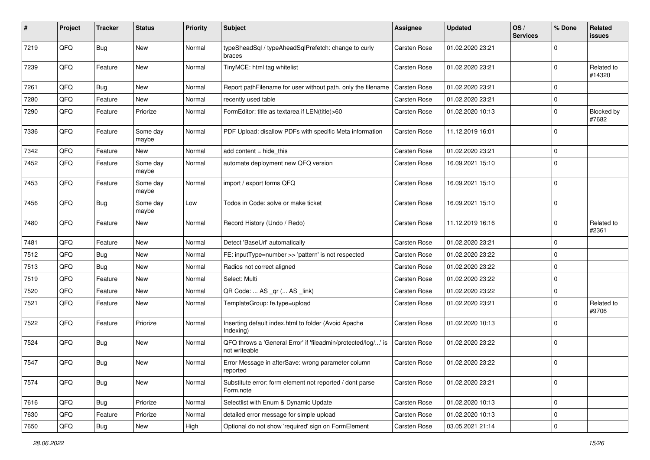| #    | Project | <b>Tracker</b> | <b>Status</b>     | <b>Priority</b> | <b>Subject</b>                                                                 | <b>Assignee</b>     | <b>Updated</b>   | OS/<br><b>Services</b> | % Done      | Related<br>issues          |
|------|---------|----------------|-------------------|-----------------|--------------------------------------------------------------------------------|---------------------|------------------|------------------------|-------------|----------------------------|
| 7219 | QFQ     | Bug            | <b>New</b>        | Normal          | typeSheadSql / typeAheadSqlPrefetch: change to curly<br>braces                 | Carsten Rose        | 01.02.2020 23:21 |                        | $\Omega$    |                            |
| 7239 | QFQ     | Feature        | New               | Normal          | TinyMCE: html tag whitelist                                                    | Carsten Rose        | 01.02.2020 23:21 |                        | $\Omega$    | Related to<br>#14320       |
| 7261 | QFQ     | Bug            | <b>New</b>        | Normal          | Report pathFilename for user without path, only the filename                   | <b>Carsten Rose</b> | 01.02.2020 23:21 |                        | $\Omega$    |                            |
| 7280 | QFQ     | Feature        | New               | Normal          | recently used table                                                            | Carsten Rose        | 01.02.2020 23:21 |                        | $\Omega$    |                            |
| 7290 | QFQ     | Feature        | Priorize          | Normal          | FormEditor: title as textarea if LEN(title)>60                                 | Carsten Rose        | 01.02.2020 10:13 |                        | 0           | <b>Blocked by</b><br>#7682 |
| 7336 | QFQ     | Feature        | Some day<br>maybe | Normal          | PDF Upload: disallow PDFs with specific Meta information                       | <b>Carsten Rose</b> | 11.12.2019 16:01 |                        | $\mathbf 0$ |                            |
| 7342 | QFG     | Feature        | New               | Normal          | add content = hide_this                                                        | <b>Carsten Rose</b> | 01.02.2020 23:21 |                        | 0           |                            |
| 7452 | QFQ     | Feature        | Some day<br>maybe | Normal          | automate deployment new QFQ version                                            | Carsten Rose        | 16.09.2021 15:10 |                        | $\Omega$    |                            |
| 7453 | QFQ     | Feature        | Some day<br>maybe | Normal          | import / export forms QFQ                                                      | Carsten Rose        | 16.09.2021 15:10 |                        | $\mathbf 0$ |                            |
| 7456 | QFQ     | Bug            | Some day<br>maybe | Low             | Todos in Code: solve or make ticket                                            | Carsten Rose        | 16.09.2021 15:10 |                        | $\mathbf 0$ |                            |
| 7480 | QFQ     | Feature        | <b>New</b>        | Normal          | Record History (Undo / Redo)                                                   | <b>Carsten Rose</b> | 11.12.2019 16:16 |                        | $\mathbf 0$ | Related to<br>#2361        |
| 7481 | QFQ     | Feature        | <b>New</b>        | Normal          | Detect 'BaseUrl' automatically                                                 | <b>Carsten Rose</b> | 01.02.2020 23:21 |                        | $\mathbf 0$ |                            |
| 7512 | QFQ     | Bug            | New               | Normal          | FE: inputType=number >> 'pattern' is not respected                             | <b>Carsten Rose</b> | 01.02.2020 23:22 |                        | $\mathbf 0$ |                            |
| 7513 | QFQ     | Bug            | New               | Normal          | Radios not correct aligned                                                     | Carsten Rose        | 01.02.2020 23:22 |                        | $\mathbf 0$ |                            |
| 7519 | QFQ     | Feature        | <b>New</b>        | Normal          | Select: Multi                                                                  | Carsten Rose        | 01.02.2020 23:22 |                        | 0           |                            |
| 7520 | QFQ     | Feature        | <b>New</b>        | Normal          | QR Code:  AS _qr ( AS _link)                                                   | <b>Carsten Rose</b> | 01.02.2020 23:22 |                        | 0           |                            |
| 7521 | QFQ     | Feature        | New               | Normal          | TemplateGroup: fe.type=upload                                                  | Carsten Rose        | 01.02.2020 23:21 |                        | $\Omega$    | Related to<br>#9706        |
| 7522 | QFQ     | Feature        | Priorize          | Normal          | Inserting default index.html to folder (Avoid Apache<br>Indexing)              | Carsten Rose        | 01.02.2020 10:13 |                        | $\Omega$    |                            |
| 7524 | QFQ     | <b>Bug</b>     | New               | Normal          | QFQ throws a 'General Error' if 'fileadmin/protected/log/' is<br>not writeable | Carsten Rose        | 01.02.2020 23:22 |                        | $\mathbf 0$ |                            |
| 7547 | QFQ     | Bug            | New               | Normal          | Error Message in afterSave: wrong parameter column<br>reported                 | Carsten Rose        | 01.02.2020 23:22 |                        | $\mathbf 0$ |                            |
| 7574 | QFQ     | <b>Bug</b>     | New               | Normal          | Substitute error: form element not reported / dont parse<br>Form.note          | Carsten Rose        | 01.02.2020 23:21 |                        | $\mathbf 0$ |                            |
| 7616 | QFQ     | Bug            | Priorize          | Normal          | Selectlist with Enum & Dynamic Update                                          | Carsten Rose        | 01.02.2020 10:13 |                        | $\mathbf 0$ |                            |
| 7630 | QFQ     | Feature        | Priorize          | Normal          | detailed error message for simple upload                                       | Carsten Rose        | 01.02.2020 10:13 |                        | 0           |                            |
| 7650 | QFQ     | Bug            | New               | High            | Optional do not show 'required' sign on FormElement                            | Carsten Rose        | 03.05.2021 21:14 |                        | 0           |                            |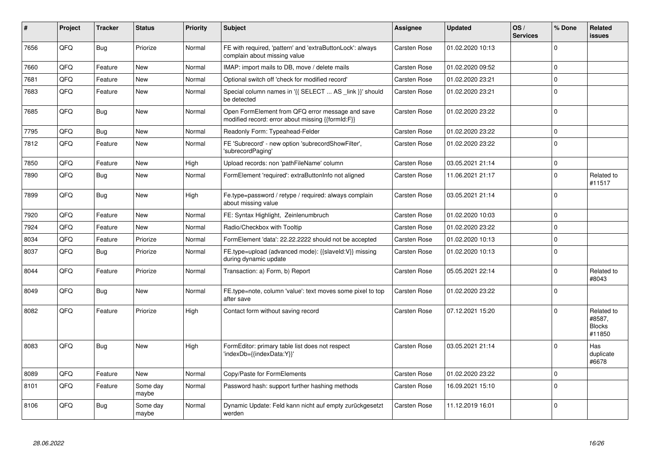| #    | Project | <b>Tracker</b> | <b>Status</b>     | <b>Priority</b> | <b>Subject</b>                                                                                        | <b>Assignee</b>     | <b>Updated</b>   | OS/<br><b>Services</b> | % Done      | Related<br>issues                               |
|------|---------|----------------|-------------------|-----------------|-------------------------------------------------------------------------------------------------------|---------------------|------------------|------------------------|-------------|-------------------------------------------------|
| 7656 | QFQ     | <b>Bug</b>     | Priorize          | Normal          | FE with required, 'pattern' and 'extraButtonLock': always<br>complain about missing value             | <b>Carsten Rose</b> | 01.02.2020 10:13 |                        | $\Omega$    |                                                 |
| 7660 | QFQ     | Feature        | <b>New</b>        | Normal          | IMAP: import mails to DB, move / delete mails                                                         | <b>Carsten Rose</b> | 01.02.2020 09:52 |                        | $\mathbf 0$ |                                                 |
| 7681 | QFQ     | Feature        | <b>New</b>        | Normal          | Optional switch off 'check for modified record'                                                       | <b>Carsten Rose</b> | 01.02.2020 23:21 |                        | $\Omega$    |                                                 |
| 7683 | QFQ     | Feature        | New               | Normal          | Special column names in '{{ SELECT  AS _link }}' should<br>be detected                                | Carsten Rose        | 01.02.2020 23:21 |                        | $\Omega$    |                                                 |
| 7685 | QFQ     | <b>Bug</b>     | <b>New</b>        | Normal          | Open FormElement from QFQ error message and save<br>modified record: error about missing {{formId:F}} | <b>Carsten Rose</b> | 01.02.2020 23:22 |                        | $\Omega$    |                                                 |
| 7795 | QFQ     | <b>Bug</b>     | <b>New</b>        | Normal          | Readonly Form: Typeahead-Felder                                                                       | Carsten Rose        | 01.02.2020 23:22 |                        | $\Omega$    |                                                 |
| 7812 | QFQ     | Feature        | <b>New</b>        | Normal          | FE 'Subrecord' - new option 'subrecordShowFilter',<br>'subrecordPaging'                               | <b>Carsten Rose</b> | 01.02.2020 23:22 |                        | $\Omega$    |                                                 |
| 7850 | QFQ     | Feature        | <b>New</b>        | High            | Upload records: non 'pathFileName' column                                                             | Carsten Rose        | 03.05.2021 21:14 |                        | $\mathbf 0$ |                                                 |
| 7890 | QFQ     | <b>Bug</b>     | <b>New</b>        | Normal          | FormElement 'required': extraButtonInfo not aligned                                                   | <b>Carsten Rose</b> | 11.06.2021 21:17 |                        | $\Omega$    | Related to<br>#11517                            |
| 7899 | QFQ     | Bug            | <b>New</b>        | High            | Fe.type=password / retype / required: always complain<br>about missing value                          | Carsten Rose        | 03.05.2021 21:14 |                        | $\Omega$    |                                                 |
| 7920 | QFQ     | Feature        | <b>New</b>        | Normal          | FE: Syntax Highlight, Zeinlenumbruch                                                                  | Carsten Rose        | 01.02.2020 10:03 |                        | $\Omega$    |                                                 |
| 7924 | QFQ     | Feature        | New               | Normal          | Radio/Checkbox with Tooltip                                                                           | Carsten Rose        | 01.02.2020 23:22 |                        | $\Omega$    |                                                 |
| 8034 | QFQ     | Feature        | Priorize          | Normal          | FormElement 'data': 22.22.2222 should not be accepted                                                 | <b>Carsten Rose</b> | 01.02.2020 10:13 |                        | $\Omega$    |                                                 |
| 8037 | QFQ     | <b>Bug</b>     | Priorize          | Normal          | FE.type=upload (advanced mode): {{slaveld:V}} missing<br>during dynamic update                        | Carsten Rose        | 01.02.2020 10:13 |                        | $\Omega$    |                                                 |
| 8044 | QFQ     | Feature        | Priorize          | Normal          | Transaction: a) Form, b) Report                                                                       | Carsten Rose        | 05.05.2021 22:14 |                        | $\Omega$    | Related to<br>#8043                             |
| 8049 | QFQ     | <b>Bug</b>     | <b>New</b>        | Normal          | FE.type=note, column 'value': text moves some pixel to top<br>after save                              | Carsten Rose        | 01.02.2020 23:22 |                        | $\Omega$    |                                                 |
| 8082 | QFQ     | Feature        | Priorize          | High            | Contact form without saving record                                                                    | Carsten Rose        | 07.12.2021 15:20 |                        | $\Omega$    | Related to<br>#8587,<br><b>Blocks</b><br>#11850 |
| 8083 | QFQ     | <b>Bug</b>     | <b>New</b>        | High            | FormEditor: primary table list does not respect<br>'indexDb={{indexData:Y}}'                          | <b>Carsten Rose</b> | 03.05.2021 21:14 |                        | $\Omega$    | Has<br>duplicate<br>#6678                       |
| 8089 | QFQ     | Feature        | <b>New</b>        | Normal          | Copy/Paste for FormElements                                                                           | Carsten Rose        | 01.02.2020 23:22 |                        | $\Omega$    |                                                 |
| 8101 | QFQ     | Feature        | Some day<br>maybe | Normal          | Password hash: support further hashing methods                                                        | <b>Carsten Rose</b> | 16.09.2021 15:10 |                        | $\Omega$    |                                                 |
| 8106 | QFQ     | Bug            | Some day<br>maybe | Normal          | Dynamic Update: Feld kann nicht auf empty zurückgesetzt<br>werden                                     | Carsten Rose        | 11.12.2019 16:01 |                        | $\Omega$    |                                                 |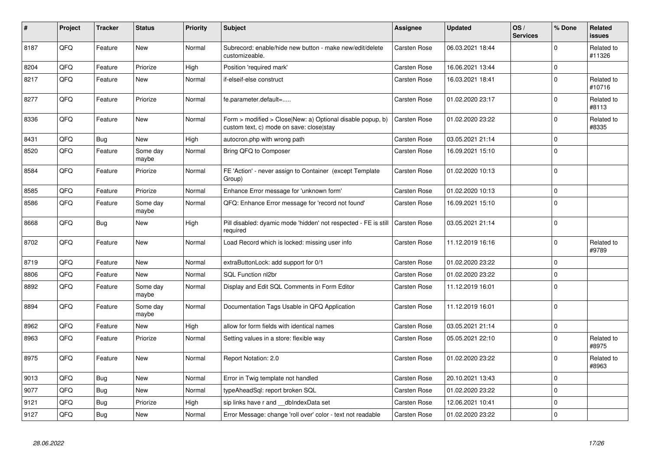| #    | Project | <b>Tracker</b> | <b>Status</b>     | <b>Priority</b> | <b>Subject</b>                                                                                         | <b>Assignee</b>     | <b>Updated</b>   | OS/<br><b>Services</b> | % Done      | Related<br>issues    |
|------|---------|----------------|-------------------|-----------------|--------------------------------------------------------------------------------------------------------|---------------------|------------------|------------------------|-------------|----------------------|
| 8187 | QFQ     | Feature        | <b>New</b>        | Normal          | Subrecord: enable/hide new button - make new/edit/delete<br>customizeable.                             | <b>Carsten Rose</b> | 06.03.2021 18:44 |                        | $\Omega$    | Related to<br>#11326 |
| 8204 | QFQ     | Feature        | Priorize          | High            | Position 'required mark'                                                                               | <b>Carsten Rose</b> | 16.06.2021 13:44 |                        | $\Omega$    |                      |
| 8217 | QFQ     | Feature        | <b>New</b>        | Normal          | if-elseif-else construct                                                                               | Carsten Rose        | 16.03.2021 18:41 |                        | $\Omega$    | Related to<br>#10716 |
| 8277 | QFQ     | Feature        | Priorize          | Normal          | fe.parameter.default=                                                                                  | <b>Carsten Rose</b> | 01.02.2020 23:17 |                        | $\mathbf 0$ | Related to<br>#8113  |
| 8336 | QFQ     | Feature        | New               | Normal          | Form > modified > Close New: a) Optional disable popup, b)<br>custom text, c) mode on save: close stay | <b>Carsten Rose</b> | 01.02.2020 23:22 |                        | 0           | Related to<br>#8335  |
| 8431 | QFQ     | <b>Bug</b>     | New               | High            | autocron.php with wrong path                                                                           | <b>Carsten Rose</b> | 03.05.2021 21:14 |                        | 0           |                      |
| 8520 | QFQ     | Feature        | Some day<br>maybe | Normal          | Bring QFQ to Composer                                                                                  | <b>Carsten Rose</b> | 16.09.2021 15:10 |                        | $\Omega$    |                      |
| 8584 | QFQ     | Feature        | Priorize          | Normal          | FE 'Action' - never assign to Container (except Template)<br>Group)                                    | <b>Carsten Rose</b> | 01.02.2020 10:13 |                        | $\Omega$    |                      |
| 8585 | QFQ     | Feature        | Priorize          | Normal          | Enhance Error message for 'unknown form'                                                               | <b>Carsten Rose</b> | 01.02.2020 10:13 |                        | $\mathbf 0$ |                      |
| 8586 | QFQ     | Feature        | Some day<br>maybe | Normal          | QFQ: Enhance Error message for 'record not found'                                                      | <b>Carsten Rose</b> | 16.09.2021 15:10 |                        | $\Omega$    |                      |
| 8668 | QFQ     | Bug            | <b>New</b>        | High            | Pill disabled: dyamic mode 'hidden' not respected - FE is still<br>required                            | <b>Carsten Rose</b> | 03.05.2021 21:14 |                        | $\Omega$    |                      |
| 8702 | QFQ     | Feature        | New               | Normal          | Load Record which is locked: missing user info                                                         | Carsten Rose        | 11.12.2019 16:16 |                        | $\Omega$    | Related to<br>#9789  |
| 8719 | QFQ     | Feature        | <b>New</b>        | Normal          | extraButtonLock: add support for 0/1                                                                   | <b>Carsten Rose</b> | 01.02.2020 23:22 |                        | $\Omega$    |                      |
| 8806 | QFQ     | Feature        | New               | Normal          | SQL Function nl2br                                                                                     | <b>Carsten Rose</b> | 01.02.2020 23:22 |                        | 0           |                      |
| 8892 | QFQ     | Feature        | Some day<br>maybe | Normal          | Display and Edit SQL Comments in Form Editor                                                           | <b>Carsten Rose</b> | 11.12.2019 16:01 |                        | $\Omega$    |                      |
| 8894 | QFQ     | Feature        | Some day<br>maybe | Normal          | Documentation Tags Usable in QFQ Application                                                           | <b>Carsten Rose</b> | 11.12.2019 16:01 |                        | $\Omega$    |                      |
| 8962 | QFQ     | Feature        | <b>New</b>        | High            | allow for form fields with identical names                                                             | <b>Carsten Rose</b> | 03.05.2021 21:14 |                        | $\mathbf 0$ |                      |
| 8963 | QFQ     | Feature        | Priorize          | Normal          | Setting values in a store: flexible way                                                                | Carsten Rose        | 05.05.2021 22:10 |                        | $\mathbf 0$ | Related to<br>#8975  |
| 8975 | QFQ     | Feature        | New               | Normal          | Report Notation: 2.0                                                                                   | Carsten Rose        | 01.02.2020 23:22 |                        | $\Omega$    | Related to<br>#8963  |
| 9013 | QFQ     | <b>Bug</b>     | <b>New</b>        | Normal          | Error in Twig template not handled                                                                     | <b>Carsten Rose</b> | 20.10.2021 13:43 |                        | $\Omega$    |                      |
| 9077 | QFQ     | <b>Bug</b>     | <b>New</b>        | Normal          | typeAheadSql: report broken SQL                                                                        | Carsten Rose        | 01.02.2020 23:22 |                        | $\Omega$    |                      |
| 9121 | QFQ     | <b>Bug</b>     | Priorize          | High            | sip links have r and dblndexData set                                                                   | <b>Carsten Rose</b> | 12.06.2021 10:41 |                        | $\Omega$    |                      |
| 9127 | QFQ     | Bug            | <b>New</b>        | Normal          | Error Message: change 'roll over' color - text not readable                                            | <b>Carsten Rose</b> | 01.02.2020 23:22 |                        | $\Omega$    |                      |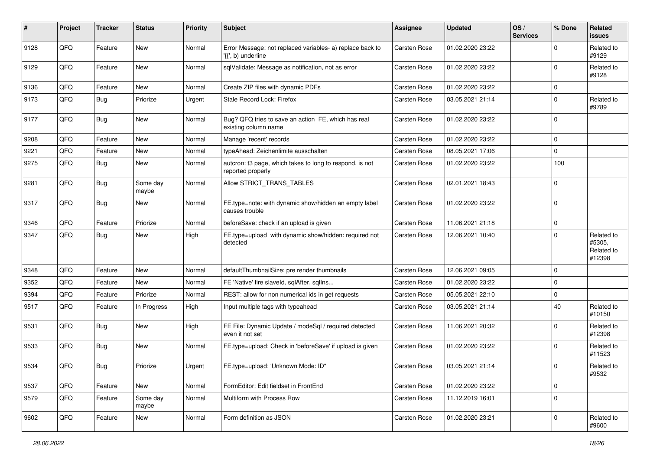| #    | Project | <b>Tracker</b> | <b>Status</b>     | <b>Priority</b> | Subject                                                                         | <b>Assignee</b>     | <b>Updated</b>   | OS/<br><b>Services</b> | % Done         | Related<br>issues                            |
|------|---------|----------------|-------------------|-----------------|---------------------------------------------------------------------------------|---------------------|------------------|------------------------|----------------|----------------------------------------------|
| 9128 | QFQ     | Feature        | <b>New</b>        | Normal          | Error Message: not replaced variables- a) replace back to<br>'{{', b) underline | <b>Carsten Rose</b> | 01.02.2020 23:22 |                        | $\Omega$       | Related to<br>#9129                          |
| 9129 | QFQ     | Feature        | New               | Normal          | sqlValidate: Message as notification, not as error                              | <b>Carsten Rose</b> | 01.02.2020 23:22 |                        | $\Omega$       | Related to<br>#9128                          |
| 9136 | QFQ     | Feature        | New               | Normal          | Create ZIP files with dynamic PDFs                                              | <b>Carsten Rose</b> | 01.02.2020 23:22 |                        | $\Omega$       |                                              |
| 9173 | QFQ     | Bug            | Priorize          | Urgent          | Stale Record Lock: Firefox                                                      | <b>Carsten Rose</b> | 03.05.2021 21:14 |                        | $\Omega$       | Related to<br>#9789                          |
| 9177 | QFQ     | Bug            | <b>New</b>        | Normal          | Bug? QFQ tries to save an action FE, which has real<br>existing column name     | Carsten Rose        | 01.02.2020 23:22 |                        | $\Omega$       |                                              |
| 9208 | QFQ     | Feature        | <b>New</b>        | Normal          | Manage 'recent' records                                                         | <b>Carsten Rose</b> | 01.02.2020 23:22 |                        | $\mathbf 0$    |                                              |
| 9221 | QFQ     | Feature        | <b>New</b>        | Normal          | typeAhead: Zeichenlimite ausschalten                                            | <b>Carsten Rose</b> | 08.05.2021 17:06 |                        | $\Omega$       |                                              |
| 9275 | QFQ     | Bug            | <b>New</b>        | Normal          | autcron: t3 page, which takes to long to respond, is not<br>reported properly   | <b>Carsten Rose</b> | 01.02.2020 23:22 |                        | 100            |                                              |
| 9281 | QFQ     | Bug            | Some day<br>maybe | Normal          | Allow STRICT_TRANS_TABLES                                                       | <b>Carsten Rose</b> | 02.01.2021 18:43 |                        | $\Omega$       |                                              |
| 9317 | QFQ     | Bug            | New               | Normal          | FE.type=note: with dynamic show/hidden an empty label<br>causes trouble         | <b>Carsten Rose</b> | 01.02.2020 23:22 |                        | $\Omega$       |                                              |
| 9346 | QFQ     | Feature        | Priorize          | Normal          | beforeSave: check if an upload is given                                         | <b>Carsten Rose</b> | 11.06.2021 21:18 |                        | $\mathbf 0$    |                                              |
| 9347 | QFQ     | Bug            | New               | High            | FE.type=upload with dynamic show/hidden: required not<br>detected               | <b>Carsten Rose</b> | 12.06.2021 10:40 |                        | $\Omega$       | Related to<br>#5305,<br>Related to<br>#12398 |
| 9348 | QFQ     | Feature        | <b>New</b>        | Normal          | defaultThumbnailSize: pre render thumbnails                                     | <b>Carsten Rose</b> | 12.06.2021 09:05 |                        | $\Omega$       |                                              |
| 9352 | QFQ     | Feature        | New               | Normal          | FE 'Native' fire slaveld, sqlAfter, sqlIns                                      | <b>Carsten Rose</b> | 01.02.2020 23:22 |                        | $\Omega$       |                                              |
| 9394 | QFQ     | Feature        | Priorize          | Normal          | REST: allow for non numerical ids in get requests                               | Carsten Rose        | 05.05.2021 22:10 |                        | $\mathbf 0$    |                                              |
| 9517 | QFQ     | Feature        | In Progress       | High            | Input multiple tags with typeahead                                              | Carsten Rose        | 03.05.2021 21:14 |                        | 40             | Related to<br>#10150                         |
| 9531 | QFQ     | Bug            | <b>New</b>        | High            | FE File: Dynamic Update / modeSql / required detected<br>even it not set        | <b>Carsten Rose</b> | 11.06.2021 20:32 |                        | $\Omega$       | Related to<br>#12398                         |
| 9533 | QFQ     | <b>Bug</b>     | <b>New</b>        | Normal          | FE.type=upload: Check in 'beforeSave' if upload is given                        | <b>Carsten Rose</b> | 01.02.2020 23:22 |                        | $\Omega$       | Related to<br>#11523                         |
| 9534 | QFQ     | Bug            | Priorize          | Urgent          | FE.type=upload: 'Unknown Mode: ID"                                              | Carsten Rose        | 03.05.2021 21:14 |                        | $\overline{0}$ | Related to<br>#9532                          |
| 9537 | QFQ     | Feature        | New               | Normal          | FormEditor: Edit fieldset in FrontEnd                                           | Carsten Rose        | 01.02.2020 23:22 |                        | $\mathbf{0}$   |                                              |
| 9579 | QFQ     | Feature        | Some day<br>maybe | Normal          | Multiform with Process Row                                                      | <b>Carsten Rose</b> | 11.12.2019 16:01 |                        | $\mathbf 0$    |                                              |
| 9602 | QFQ     | Feature        | New               | Normal          | Form definition as JSON                                                         | Carsten Rose        | 01.02.2020 23:21 |                        | 0              | Related to<br>#9600                          |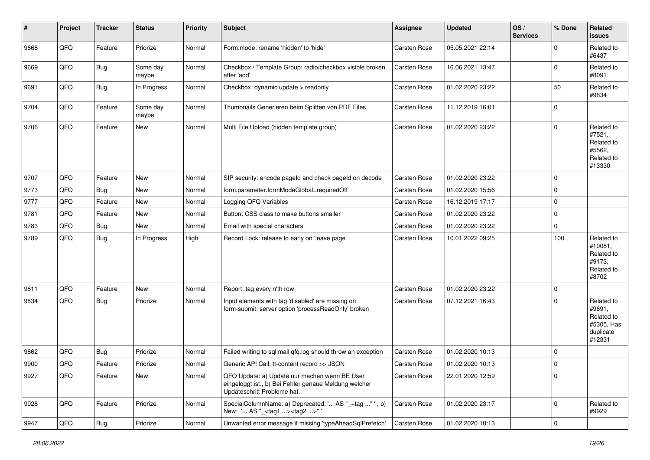| #    | Project | <b>Tracker</b> | <b>Status</b>     | <b>Priority</b> | <b>Subject</b>                                                                                                                        | <b>Assignee</b>     | <b>Updated</b>   | OS/<br><b>Services</b> | % Done      | Related<br><b>issues</b>                                                |
|------|---------|----------------|-------------------|-----------------|---------------------------------------------------------------------------------------------------------------------------------------|---------------------|------------------|------------------------|-------------|-------------------------------------------------------------------------|
| 9668 | QFQ     | Feature        | Priorize          | Normal          | Form.mode: rename 'hidden' to 'hide'                                                                                                  | Carsten Rose        | 05.05.2021 22:14 |                        | $\Omega$    | Related to<br>#6437                                                     |
| 9669 | QFQ     | <b>Bug</b>     | Some day<br>maybe | Normal          | Checkbox / Template Group: radio/checkbox visible broken<br>after 'add'                                                               | Carsten Rose        | 16.06.2021 13:47 |                        | $\mathbf 0$ | Related to<br>#8091                                                     |
| 9691 | QFQ     | <b>Bug</b>     | In Progress       | Normal          | Checkbox: dynamic update > readonly                                                                                                   | Carsten Rose        | 01.02.2020 23:22 |                        | 50          | Related to<br>#9834                                                     |
| 9704 | QFQ     | Feature        | Some day<br>maybe | Normal          | Thumbnails Generieren beim Splitten von PDF Files                                                                                     | Carsten Rose        | 11.12.2019 16:01 |                        | $\mathbf 0$ |                                                                         |
| 9706 | QFQ     | Feature        | New               | Normal          | Multi File Upload (hidden template group)                                                                                             | <b>Carsten Rose</b> | 01.02.2020 23:22 |                        | $\mathbf 0$ | Related to<br>#7521,<br>Related to<br>#5562,<br>Related to<br>#13330    |
| 9707 | QFQ     | Feature        | <b>New</b>        | Normal          | SIP security: encode pageld and check pageld on decode                                                                                | Carsten Rose        | 01.02.2020 23:22 |                        | $\mathbf 0$ |                                                                         |
| 9773 | QFQ     | Bug            | New               | Normal          | form.parameter.formModeGlobal=requiredOff                                                                                             | <b>Carsten Rose</b> | 01.02.2020 15:56 |                        | $\mathbf 0$ |                                                                         |
| 9777 | QFQ     | Feature        | <b>New</b>        | Normal          | Logging QFQ Variables                                                                                                                 | Carsten Rose        | 16.12.2019 17:17 |                        | $\mathbf 0$ |                                                                         |
| 9781 | QFQ     | Feature        | New               | Normal          | Button: CSS class to make buttons smaller                                                                                             | Carsten Rose        | 01.02.2020 23:22 |                        | $\mathbf 0$ |                                                                         |
| 9783 | QFQ     | Bug            | New               | Normal          | Email with special characters                                                                                                         | Carsten Rose        | 01.02.2020 23:22 |                        | $\mathbf 0$ |                                                                         |
| 9789 | QFQ     | <b>Bug</b>     | In Progress       | High            | Record Lock: release to early on 'leave page'                                                                                         | Carsten Rose        | 10.01.2022 09:25 |                        | 100         | Related to<br>#10081,<br>Related to<br>#9173,<br>Related to<br>#8702    |
| 9811 | QFQ     | Feature        | New               | Normal          | Report: tag every n'th row                                                                                                            | Carsten Rose        | 01.02.2020 23:22 |                        | $\mathbf 0$ |                                                                         |
| 9834 | QFQ     | Bug            | Priorize          | Normal          | Input elements with tag 'disabled' are missing on<br>form-submit: server option 'processReadOnly' broken                              | Carsten Rose        | 07.12.2021 16:43 |                        | $\Omega$    | Related to<br>#9691,<br>Related to<br>#5305, Has<br>duplicate<br>#12331 |
| 9862 | QFQ     | Bug            | Priorize          | Normal          | Failed writing to sql mail qfq.log should throw an exception                                                                          | Carsten Rose        | 01.02.2020 10:13 |                        | $\mathbf 0$ |                                                                         |
| 9900 | QFQ     | Feature        | Priorize          | Normal          | Generic API Call: tt-content record >> JSON                                                                                           | Carsten Rose        | 01.02.2020 10:13 |                        | $\mathbf 0$ |                                                                         |
| 9927 | QFQ     | Feature        | New               | Normal          | QFQ Update: a) Update nur machen wenn BE User<br>eingeloggt ist., b) Bei Fehler genaue Meldung welcher<br>Updateschritt Probleme hat. | Carsten Rose        | 22.01.2020 12:59 |                        | $\mathbf 0$ |                                                                         |
| 9928 | QFQ     | Feature        | Priorize          | Normal          | SpecialColumnName: a) Deprecated: ' AS "_+tag " ', b)<br>New: ' AS "_ <tag1><tag2>"</tag2></tag1>                                     | Carsten Rose        | 01.02.2020 23:17 |                        | $\mathbf 0$ | Related to<br>#9929                                                     |
| 9947 | QFQ     | Bug            | Priorize          | Normal          | Unwanted error message if missing 'typeAheadSqlPrefetch'                                                                              | Carsten Rose        | 01.02.2020 10:13 |                        | $\mathbf 0$ |                                                                         |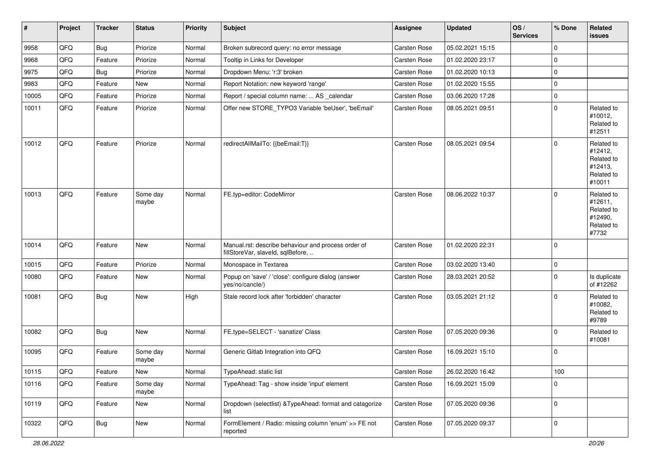| $\vert$ # | Project | <b>Tracker</b> | <b>Status</b>     | <b>Priority</b> | <b>Subject</b>                                                                           | Assignee            | <b>Updated</b>   | OS/<br><b>Services</b> | % Done      | Related<br>issues                                                      |
|-----------|---------|----------------|-------------------|-----------------|------------------------------------------------------------------------------------------|---------------------|------------------|------------------------|-------------|------------------------------------------------------------------------|
| 9958      | QFQ     | <b>Bug</b>     | Priorize          | Normal          | Broken subrecord query: no error message                                                 | <b>Carsten Rose</b> | 05.02.2021 15:15 |                        | $\mathbf 0$ |                                                                        |
| 9968      | QFQ     | Feature        | Priorize          | Normal          | Tooltip in Links for Developer                                                           | Carsten Rose        | 01.02.2020 23:17 |                        | $\mathbf 0$ |                                                                        |
| 9975      | QFQ     | <b>Bug</b>     | Priorize          | Normal          | Dropdown Menu: 'r:3' broken                                                              | Carsten Rose        | 01.02.2020 10:13 |                        | $\mathbf 0$ |                                                                        |
| 9983      | QFQ     | Feature        | New               | Normal          | Report Notation: new keyword 'range'                                                     | Carsten Rose        | 01.02.2020 15:55 |                        | $\mathbf 0$ |                                                                        |
| 10005     | QFQ     | Feature        | Priorize          | Normal          | Report / special column name:  AS _calendar                                              | Carsten Rose        | 03.06.2020 17:28 |                        | $\mathbf 0$ |                                                                        |
| 10011     | QFQ     | Feature        | Priorize          | Normal          | Offer new STORE_TYPO3 Variable 'beUser', 'beEmail'                                       | Carsten Rose        | 08.05.2021 09:51 |                        | $\mathbf 0$ | Related to<br>#10012,<br>Related to<br>#12511                          |
| 10012     | QFQ     | Feature        | Priorize          | Normal          | redirectAllMailTo: {{beEmail:T}}                                                         | Carsten Rose        | 08.05.2021 09:54 |                        | $\mathbf 0$ | Related to<br>#12412,<br>Related to<br>#12413,<br>Related to<br>#10011 |
| 10013     | QFQ     | Feature        | Some day<br>maybe | Normal          | FE.typ=editor: CodeMirror                                                                | Carsten Rose        | 08.06.2022 10:37 |                        | $\Omega$    | Related to<br>#12611,<br>Related to<br>#12490,<br>Related to<br>#7732  |
| 10014     | QFQ     | Feature        | New               | Normal          | Manual.rst: describe behaviour and process order of<br>fillStoreVar, slaveId, sqlBefore, | Carsten Rose        | 01.02.2020 22:31 |                        | $\mathbf 0$ |                                                                        |
| 10015     | QFQ     | Feature        | Priorize          | Normal          | Monospace in Textarea                                                                    | Carsten Rose        | 03.02.2020 13:40 |                        | $\mathbf 0$ |                                                                        |
| 10080     | QFQ     | Feature        | New               | Normal          | Popup on 'save' / 'close': configure dialog (answer<br>yes/no/cancle/)                   | Carsten Rose        | 28.03.2021 20:52 |                        | $\mathbf 0$ | Is duplicate<br>of #12262                                              |
| 10081     | QFQ     | Bug            | New               | High            | Stale record lock after 'forbidden' character                                            | Carsten Rose        | 03.05.2021 21:12 |                        | $\mathbf 0$ | Related to<br>#10082,<br>Related to<br>#9789                           |
| 10082     | QFQ     | <b>Bug</b>     | <b>New</b>        | Normal          | FE.type=SELECT - 'sanatize' Class                                                        | Carsten Rose        | 07.05.2020 09:36 |                        | $\Omega$    | Related to<br>#10081                                                   |
| 10095     | QFQ     | Feature        | Some day<br>maybe | Normal          | Generic Gitlab Integration into QFQ                                                      | Carsten Rose        | 16.09.2021 15:10 |                        | $\mathbf 0$ |                                                                        |
| 10115     | QFQ     | Feature        | New               | Normal          | TypeAhead: static list                                                                   | Carsten Rose        | 26.02.2020 16:42 |                        | 100         |                                                                        |
| 10116     | QFQ     | Feature        | Some day<br>maybe | Normal          | TypeAhead: Tag - show inside 'input' element                                             | Carsten Rose        | 16.09.2021 15:09 |                        | $\mathbf 0$ |                                                                        |
| 10119     | QFQ     | Feature        | New               | Normal          | Dropdown (selectlist) & TypeAhead: format and catagorize<br>list                         | Carsten Rose        | 07.05.2020 09:36 |                        | $\mathbf 0$ |                                                                        |
| 10322     | QFQ     | Bug            | New               | Normal          | FormElement / Radio: missing column 'enum' >> FE not<br>reported                         | Carsten Rose        | 07.05.2020 09:37 |                        | $\mathbf 0$ |                                                                        |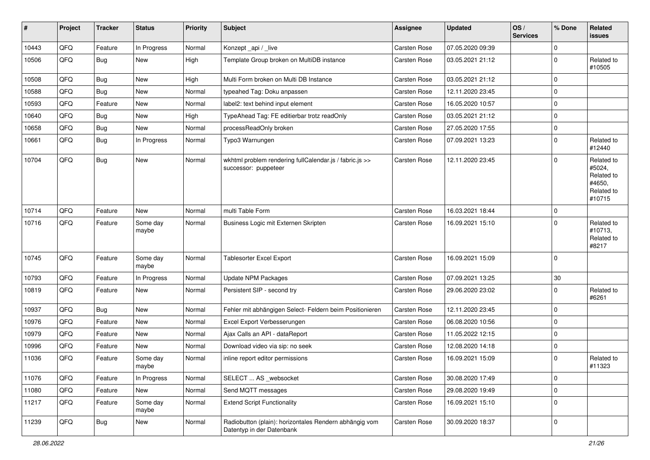| #     | Project | <b>Tracker</b> | <b>Status</b>     | <b>Priority</b> | Subject                                                                             | <b>Assignee</b>     | <b>Updated</b>   | OS/<br><b>Services</b> | % Done      | Related<br>issues                                                    |
|-------|---------|----------------|-------------------|-----------------|-------------------------------------------------------------------------------------|---------------------|------------------|------------------------|-------------|----------------------------------------------------------------------|
| 10443 | QFQ     | Feature        | In Progress       | Normal          | Konzept_api / _live                                                                 | Carsten Rose        | 07.05.2020 09:39 |                        | $\Omega$    |                                                                      |
| 10506 | QFQ     | <b>Bug</b>     | <b>New</b>        | High            | Template Group broken on MultiDB instance                                           | <b>Carsten Rose</b> | 03.05.2021 21:12 |                        | $\Omega$    | Related to<br>#10505                                                 |
| 10508 | QFQ     | Bug            | New               | High            | Multi Form broken on Multi DB Instance                                              | <b>Carsten Rose</b> | 03.05.2021 21:12 |                        | $\mathbf 0$ |                                                                      |
| 10588 | QFQ     | Bug            | <b>New</b>        | Normal          | typeahed Tag: Doku anpassen                                                         | <b>Carsten Rose</b> | 12.11.2020 23:45 |                        | $\Omega$    |                                                                      |
| 10593 | QFQ     | Feature        | New               | Normal          | label2: text behind input element                                                   | <b>Carsten Rose</b> | 16.05.2020 10:57 |                        | $\Omega$    |                                                                      |
| 10640 | QFQ     | Bug            | <b>New</b>        | High            | TypeAhead Tag: FE editierbar trotz readOnly                                         | Carsten Rose        | 03.05.2021 21:12 |                        | $\mathbf 0$ |                                                                      |
| 10658 | QFQ     | <b>Bug</b>     | <b>New</b>        | Normal          | processReadOnly broken                                                              | <b>Carsten Rose</b> | 27.05.2020 17:55 |                        | $\Omega$    |                                                                      |
| 10661 | QFQ     | Bug            | In Progress       | Normal          | Typo3 Warnungen                                                                     | Carsten Rose        | 07.09.2021 13:23 |                        | $\mathbf 0$ | Related to<br>#12440                                                 |
| 10704 | QFQ     | Bug            | <b>New</b>        | Normal          | wkhtml problem rendering fullCalendar.js / fabric.js >><br>successor: puppeteer     | <b>Carsten Rose</b> | 12.11.2020 23:45 |                        | $\mathbf 0$ | Related to<br>#5024,<br>Related to<br>#4650,<br>Related to<br>#10715 |
| 10714 | QFQ     | Feature        | <b>New</b>        | Normal          | multi Table Form                                                                    | <b>Carsten Rose</b> | 16.03.2021 18:44 |                        | $\mathbf 0$ |                                                                      |
| 10716 | QFQ     | Feature        | Some day<br>maybe | Normal          | Business Logic mit Externen Skripten                                                | Carsten Rose        | 16.09.2021 15:10 |                        | $\Omega$    | Related to<br>#10713,<br>Related to<br>#8217                         |
| 10745 | QFQ     | Feature        | Some day<br>maybe | Normal          | Tablesorter Excel Export                                                            | Carsten Rose        | 16.09.2021 15:09 |                        | $\Omega$    |                                                                      |
| 10793 | QFQ     | Feature        | In Progress       | Normal          | <b>Update NPM Packages</b>                                                          | Carsten Rose        | 07.09.2021 13:25 |                        | 30          |                                                                      |
| 10819 | QFQ     | Feature        | New               | Normal          | Persistent SIP - second try                                                         | Carsten Rose        | 29.06.2020 23:02 |                        | $\Omega$    | Related to<br>#6261                                                  |
| 10937 | QFQ     | Bug            | New               | Normal          | Fehler mit abhängigen Select- Feldern beim Positionieren                            | <b>Carsten Rose</b> | 12.11.2020 23:45 |                        | $\mathbf 0$ |                                                                      |
| 10976 | QFQ     | Feature        | <b>New</b>        | Normal          | Excel Export Verbesserungen                                                         | Carsten Rose        | 06.08.2020 10:56 |                        | $\mathbf 0$ |                                                                      |
| 10979 | QFQ     | Feature        | <b>New</b>        | Normal          | Ajax Calls an API - dataReport                                                      | <b>Carsten Rose</b> | 11.05.2022 12:15 |                        | $\mathbf 0$ |                                                                      |
| 10996 | QFQ     | Feature        | New               | Normal          | Download video via sip: no seek                                                     | Carsten Rose        | 12.08.2020 14:18 |                        | $\Omega$    |                                                                      |
| 11036 | QFQ     | Feature        | Some day<br>maybe | Normal          | inline report editor permissions                                                    | <b>Carsten Rose</b> | 16.09.2021 15:09 |                        | 0           | Related to<br>#11323                                                 |
| 11076 | QFQ     | Feature        | In Progress       | Normal          | SELECT  AS _websocket                                                               | Carsten Rose        | 30.08.2020 17:49 |                        | $\mathbf 0$ |                                                                      |
| 11080 | QFQ     | Feature        | New               | Normal          | Send MQTT messages                                                                  | Carsten Rose        | 29.08.2020 19:49 |                        | $\mathbf 0$ |                                                                      |
| 11217 | QFQ     | Feature        | Some day<br>maybe | Normal          | <b>Extend Script Functionality</b>                                                  | Carsten Rose        | 16.09.2021 15:10 |                        | $\Omega$    |                                                                      |
| 11239 | QFG     | Bug            | New               | Normal          | Radiobutton (plain): horizontales Rendern abhängig vom<br>Datentyp in der Datenbank | Carsten Rose        | 30.09.2020 18:37 |                        | $\mathbf 0$ |                                                                      |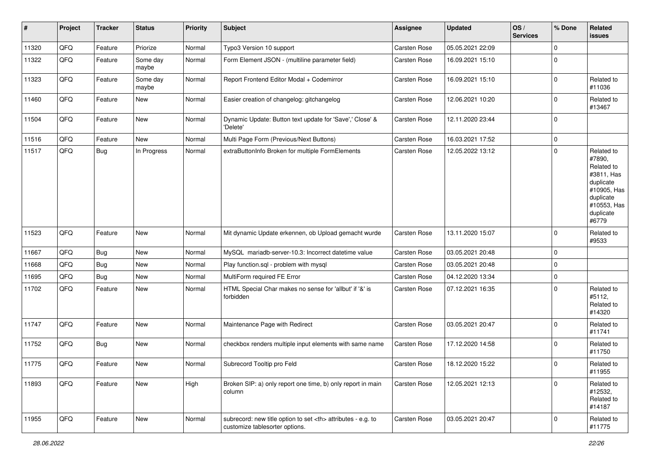| $\vert$ # | Project | <b>Tracker</b> | <b>Status</b>     | <b>Priority</b> | <b>Subject</b>                                                                                       | <b>Assignee</b>                                        | <b>Updated</b>   | OS/<br><b>Services</b> | % Done      | Related<br><b>issues</b>                                                                                                       |                      |
|-----------|---------|----------------|-------------------|-----------------|------------------------------------------------------------------------------------------------------|--------------------------------------------------------|------------------|------------------------|-------------|--------------------------------------------------------------------------------------------------------------------------------|----------------------|
| 11320     | QFQ     | Feature        | Priorize          | Normal          | Typo3 Version 10 support                                                                             | Carsten Rose                                           | 05.05.2021 22:09 |                        | $\mathbf 0$ |                                                                                                                                |                      |
| 11322     | QFQ     | Feature        | Some day<br>maybe | Normal          | Form Element JSON - (multiline parameter field)                                                      | Carsten Rose                                           | 16.09.2021 15:10 |                        | $\mathbf 0$ |                                                                                                                                |                      |
| 11323     | QFQ     | Feature        | Some day<br>maybe | Normal          | Report Frontend Editor Modal + Codemirror                                                            | Carsten Rose                                           | 16.09.2021 15:10 |                        | $\mathbf 0$ | Related to<br>#11036                                                                                                           |                      |
| 11460     | QFQ     | Feature        | New               | Normal          | Easier creation of changelog: gitchangelog                                                           | Carsten Rose                                           | 12.06.2021 10:20 |                        | $\mathbf 0$ | Related to<br>#13467                                                                                                           |                      |
| 11504     | QFQ     | Feature        | New               | Normal          | Dynamic Update: Button text update for 'Save',' Close' &<br>'Delete'                                 | Carsten Rose                                           | 12.11.2020 23:44 |                        | $\mathbf 0$ |                                                                                                                                |                      |
| 11516     | QFQ     | Feature        | New               | Normal          | Multi Page Form (Previous/Next Buttons)                                                              | Carsten Rose                                           | 16.03.2021 17:52 |                        | $\mathbf 0$ |                                                                                                                                |                      |
| 11517     | QFQ     | Bug            | In Progress       | Normal          | extraButtonInfo Broken for multiple FormElements                                                     | Carsten Rose                                           | 12.05.2022 13:12 |                        | $\mathbf 0$ | Related to<br>#7890,<br>Related to<br>#3811, Has<br>duplicate<br>#10905, Has<br>duplicate<br>#10553, Has<br>duplicate<br>#6779 |                      |
| 11523     | QFQ     | Feature        | <b>New</b>        | Normal          | Mit dynamic Update erkennen, ob Upload gemacht wurde                                                 | Carsten Rose                                           | 13.11.2020 15:07 |                        | $\mathbf 0$ | Related to<br>#9533                                                                                                            |                      |
| 11667     | QFQ     | Bug            | <b>New</b>        | Normal          | MySQL mariadb-server-10.3: Incorrect datetime value                                                  | Carsten Rose                                           | 03.05.2021 20:48 |                        | $\mathbf 0$ |                                                                                                                                |                      |
| 11668     | QFQ     | Bug            | New               | Normal          | Play function.sql - problem with mysql                                                               | Carsten Rose                                           | 03.05.2021 20:48 |                        | $\mathbf 0$ |                                                                                                                                |                      |
| 11695     | QFQ     | Bug            | New               | Normal          | MultiForm required FE Error                                                                          | Carsten Rose                                           | 04.12.2020 13:34 |                        | $\mathbf 0$ |                                                                                                                                |                      |
| 11702     | QFQ     | Feature        | New               | Normal          | HTML Special Char makes no sense for 'allbut' if '&' is<br>forbidden                                 | Carsten Rose                                           | 07.12.2021 16:35 |                        | $\mathbf 0$ | Related to<br>#5112,<br>Related to<br>#14320                                                                                   |                      |
| 11747     | QFQ     | Feature        | New               | Normal          | Maintenance Page with Redirect                                                                       | Carsten Rose                                           | 03.05.2021 20:47 |                        | $\mathbf 0$ | Related to<br>#11741                                                                                                           |                      |
| 11752     | QFQ     | Bug            | <b>New</b>        | Normal          | checkbox renders multiple input elements with same name                                              | Carsten Rose                                           | 17.12.2020 14:58 |                        | $\mathbf 0$ | Related to<br>#11750                                                                                                           |                      |
| 11775     | QFQ     | Feature        | New               | Normal          | Subrecord Tooltip pro Feld                                                                           | Carsten Rose                                           | 18.12.2020 15:22 |                        | $\mathbf 0$ | Related to<br>#11955                                                                                                           |                      |
| 11893     | QFQ     | Feature        | New               | High            | Broken SIP: a) only report one time, b) only report in main<br>column                                | Carsten Rose                                           | 12.05.2021 12:13 |                        | $\mathbf 0$ | Related to<br>#12532,<br>Related to<br>#14187                                                                                  |                      |
| 11955     | QFQ     | Feature        | New               | Normal          | subrecord: new title option to set <th> attributes - e.g. to<br/>customize tablesorter options.</th> | attributes - e.g. to<br>customize tablesorter options. | Carsten Rose     | 03.05.2021 20:47       |             | $\mathbf 0$                                                                                                                    | Related to<br>#11775 |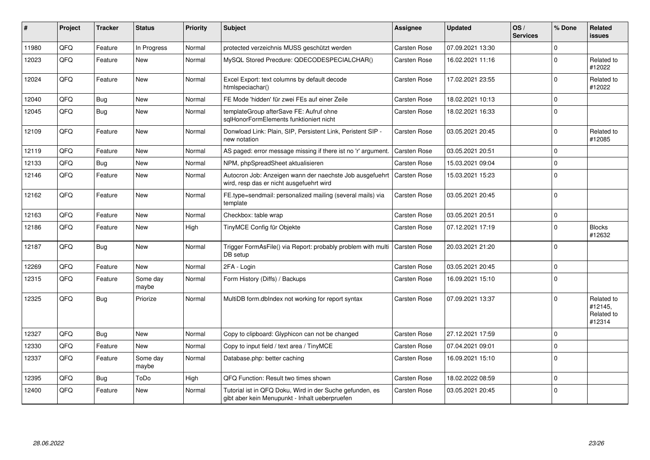| #     | <b>Project</b> | <b>Tracker</b> | <b>Status</b>     | <b>Priority</b> | <b>Subject</b>                                                                                             | <b>Assignee</b>     | <b>Updated</b>   | OS/<br><b>Services</b> | % Done       | Related<br><b>issues</b>                      |
|-------|----------------|----------------|-------------------|-----------------|------------------------------------------------------------------------------------------------------------|---------------------|------------------|------------------------|--------------|-----------------------------------------------|
| 11980 | QFQ            | Feature        | In Progress       | Normal          | protected verzeichnis MUSS geschützt werden                                                                | <b>Carsten Rose</b> | 07.09.2021 13:30 |                        | <sup>0</sup> |                                               |
| 12023 | QFQ            | Feature        | <b>New</b>        | Normal          | MySQL Stored Precdure: QDECODESPECIALCHAR()                                                                | Carsten Rose        | 16.02.2021 11:16 |                        | $\Omega$     | Related to<br>#12022                          |
| 12024 | QFQ            | Feature        | <b>New</b>        | Normal          | Excel Export: text columns by default decode<br>htmlspeciachar()                                           | <b>Carsten Rose</b> | 17.02.2021 23:55 |                        | $\Omega$     | Related to<br>#12022                          |
| 12040 | QFQ            | Bug            | <b>New</b>        | Normal          | FE Mode 'hidden' für zwei FEs auf einer Zeile                                                              | <b>Carsten Rose</b> | 18.02.2021 10:13 |                        | 0            |                                               |
| 12045 | QFQ            | <b>Bug</b>     | <b>New</b>        | Normal          | templateGroup afterSave FE: Aufruf ohne<br>sqlHonorFormElements funktioniert nicht                         | Carsten Rose        | 18.02.2021 16:33 |                        | $\Omega$     |                                               |
| 12109 | QFQ            | Feature        | <b>New</b>        | Normal          | Donwload Link: Plain, SIP, Persistent Link, Peristent SIP -<br>new notation                                | <b>Carsten Rose</b> | 03.05.2021 20:45 |                        | $\Omega$     | Related to<br>#12085                          |
| 12119 | QFQ            | Feature        | <b>New</b>        | Normal          | AS paged: error message missing if there ist no 'r' argument.                                              | <b>Carsten Rose</b> | 03.05.2021 20:51 |                        | $\Omega$     |                                               |
| 12133 | QFQ            | Bug            | <b>New</b>        | Normal          | NPM, phpSpreadSheet aktualisieren                                                                          | Carsten Rose        | 15.03.2021 09:04 |                        | $\Omega$     |                                               |
| 12146 | QFQ            | Feature        | New               | Normal          | Autocron Job: Anzeigen wann der naechste Job ausgefuehrt<br>wird, resp das er nicht ausgefuehrt wird       | <b>Carsten Rose</b> | 15.03.2021 15:23 |                        | $\Omega$     |                                               |
| 12162 | QFQ            | Feature        | <b>New</b>        | Normal          | FE.type=sendmail: personalized mailing (several mails) via<br>template                                     | <b>Carsten Rose</b> | 03.05.2021 20:45 |                        | $\Omega$     |                                               |
| 12163 | QFQ            | Feature        | <b>New</b>        | Normal          | Checkbox: table wrap                                                                                       | <b>Carsten Rose</b> | 03.05.2021 20:51 |                        | 0            |                                               |
| 12186 | QFQ            | Feature        | <b>New</b>        | High            | TinyMCE Config für Objekte                                                                                 | <b>Carsten Rose</b> | 07.12.2021 17:19 |                        | $\Omega$     | <b>Blocks</b><br>#12632                       |
| 12187 | QFQ            | Bug            | <b>New</b>        | Normal          | Trigger FormAsFile() via Report: probably problem with multi<br>DB setup                                   | <b>Carsten Rose</b> | 20.03.2021 21:20 |                        | $\Omega$     |                                               |
| 12269 | QFQ            | Feature        | <b>New</b>        | Normal          | 2FA - Login                                                                                                | <b>Carsten Rose</b> | 03.05.2021 20:45 |                        | $\Omega$     |                                               |
| 12315 | QFQ            | Feature        | Some day<br>maybe | Normal          | Form History (Diffs) / Backups                                                                             | Carsten Rose        | 16.09.2021 15:10 |                        | $\Omega$     |                                               |
| 12325 | QFQ            | Bug            | Priorize          | Normal          | MultiDB form.dblndex not working for report syntax                                                         | <b>Carsten Rose</b> | 07.09.2021 13:37 |                        | $\Omega$     | Related to<br>#12145,<br>Related to<br>#12314 |
| 12327 | QFQ            | Bug            | <b>New</b>        | Normal          | Copy to clipboard: Glyphicon can not be changed                                                            | Carsten Rose        | 27.12.2021 17:59 |                        | $\Omega$     |                                               |
| 12330 | QFQ            | Feature        | New               | Normal          | Copy to input field / text area / TinyMCE                                                                  | <b>Carsten Rose</b> | 07.04.2021 09:01 |                        | $\Omega$     |                                               |
| 12337 | QFQ            | Feature        | Some day<br>maybe | Normal          | Database.php: better caching                                                                               | Carsten Rose        | 16.09.2021 15:10 |                        | $\Omega$     |                                               |
| 12395 | QFQ            | Bug            | ToDo              | High            | QFQ Function: Result two times shown                                                                       | <b>Carsten Rose</b> | 18.02.2022 08:59 |                        | 0            |                                               |
| 12400 | QFQ            | Feature        | <b>New</b>        | Normal          | Tutorial ist in QFQ Doku, Wird in der Suche gefunden, es<br>gibt aber kein Menupunkt - Inhalt ueberpruefen | <b>Carsten Rose</b> | 03.05.2021 20:45 |                        | $\Omega$     |                                               |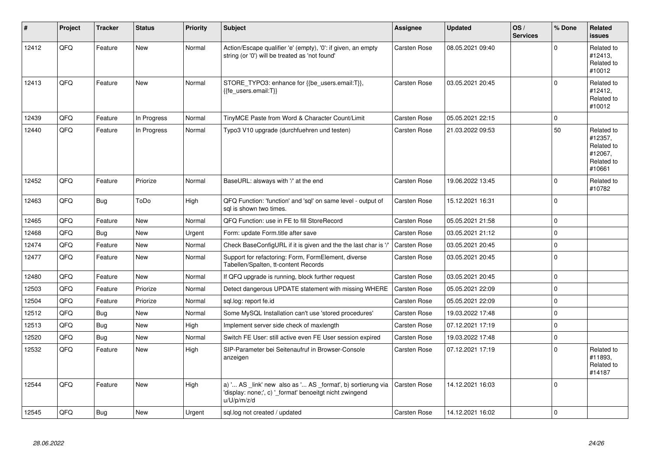| ∦     | Project | <b>Tracker</b> | <b>Status</b> | <b>Priority</b> | <b>Subject</b>                                                                                                                        | <b>Assignee</b>     | <b>Updated</b>   | OS/<br><b>Services</b> | % Done      | Related<br><b>issues</b>                                               |
|-------|---------|----------------|---------------|-----------------|---------------------------------------------------------------------------------------------------------------------------------------|---------------------|------------------|------------------------|-------------|------------------------------------------------------------------------|
| 12412 | QFQ     | Feature        | <b>New</b>    | Normal          | Action/Escape qualifier 'e' (empty), '0': if given, an empty<br>string (or '0') will be treated as 'not found'                        | Carsten Rose        | 08.05.2021 09:40 |                        | $\Omega$    | Related to<br>#12413,<br>Related to<br>#10012                          |
| 12413 | QFQ     | Feature        | <b>New</b>    | Normal          | STORE_TYPO3: enhance for {{be_users.email:T}},<br>{{fe users.email:T}}                                                                | Carsten Rose        | 03.05.2021 20:45 |                        | $\Omega$    | Related to<br>#12412,<br>Related to<br>#10012                          |
| 12439 | QFQ     | Feature        | In Progress   | Normal          | TinyMCE Paste from Word & Character Count/Limit                                                                                       | Carsten Rose        | 05.05.2021 22:15 |                        | $\Omega$    |                                                                        |
| 12440 | QFQ     | Feature        | In Progress   | Normal          | Typo3 V10 upgrade (durchfuehren und testen)                                                                                           | <b>Carsten Rose</b> | 21.03.2022 09:53 |                        | 50          | Related to<br>#12357,<br>Related to<br>#12067,<br>Related to<br>#10661 |
| 12452 | QFQ     | Feature        | Priorize      | Normal          | BaseURL: alsways with '/' at the end                                                                                                  | Carsten Rose        | 19.06.2022 13:45 |                        | $\Omega$    | Related to<br>#10782                                                   |
| 12463 | QFQ     | <b>Bug</b>     | ToDo          | High            | QFQ Function: 'function' and 'sql' on same level - output of<br>sql is shown two times.                                               | <b>Carsten Rose</b> | 15.12.2021 16:31 |                        | $\mathbf 0$ |                                                                        |
| 12465 | QFQ     | Feature        | New           | Normal          | QFQ Function: use in FE to fill StoreRecord                                                                                           | Carsten Rose        | 05.05.2021 21:58 |                        | $\mathbf 0$ |                                                                        |
| 12468 | QFQ     | Bug            | <b>New</b>    | Urgent          | Form: update Form.title after save                                                                                                    | <b>Carsten Rose</b> | 03.05.2021 21:12 |                        | $\mathbf 0$ |                                                                        |
| 12474 | QFQ     | Feature        | <b>New</b>    | Normal          | Check BaseConfigURL if it is given and the the last char is '/'                                                                       | <b>Carsten Rose</b> | 03.05.2021 20:45 |                        | $\mathbf 0$ |                                                                        |
| 12477 | QFQ     | Feature        | <b>New</b>    | Normal          | Support for refactoring: Form, FormElement, diverse<br>Tabellen/Spalten, tt-content Records                                           | Carsten Rose        | 03.05.2021 20:45 |                        | $\Omega$    |                                                                        |
| 12480 | QFQ     | Feature        | <b>New</b>    | Normal          | If QFQ upgrade is running, block further request                                                                                      | <b>Carsten Rose</b> | 03.05.2021 20:45 |                        | $\Omega$    |                                                                        |
| 12503 | QFQ     | Feature        | Priorize      | Normal          | Detect dangerous UPDATE statement with missing WHERE                                                                                  | Carsten Rose        | 05.05.2021 22:09 |                        | $\mathbf 0$ |                                                                        |
| 12504 | QFQ     | Feature        | Priorize      | Normal          | sgl.log: report fe.id                                                                                                                 | <b>Carsten Rose</b> | 05.05.2021 22:09 |                        | $\mathbf 0$ |                                                                        |
| 12512 | QFQ     | Bug            | <b>New</b>    | Normal          | Some MySQL Installation can't use 'stored procedures'                                                                                 | <b>Carsten Rose</b> | 19.03.2022 17:48 |                        | $\Omega$    |                                                                        |
| 12513 | QFQ     | <b>Bug</b>     | <b>New</b>    | High            | Implement server side check of maxlength                                                                                              | Carsten Rose        | 07.12.2021 17:19 |                        | $\Omega$    |                                                                        |
| 12520 | QFQ     | Bug            | <b>New</b>    | Normal          | Switch FE User: still active even FE User session expired                                                                             | <b>Carsten Rose</b> | 19.03.2022 17:48 |                        | $\mathbf 0$ |                                                                        |
| 12532 | QFQ     | Feature        | <b>New</b>    | High            | SIP-Parameter bei Seitenaufruf in Browser-Console<br>anzeigen                                                                         | <b>Carsten Rose</b> | 07.12.2021 17:19 |                        | $\mathbf 0$ | Related to<br>#11893,<br>Related to<br>#14187                          |
| 12544 | QFQ     | Feature        | <b>New</b>    | High            | a) ' AS _link' new also as ' AS _format', b) sortierung via<br>'display: none;', c) ' format' benoeitgt nicht zwingend<br>u/U/p/m/z/d | <b>Carsten Rose</b> | 14.12.2021 16:03 |                        | $\Omega$    |                                                                        |
| 12545 | QFQ     | Bug            | <b>New</b>    | Urgent          | sql.log not created / updated                                                                                                         | Carsten Rose        | 14.12.2021 16:02 |                        | $\Omega$    |                                                                        |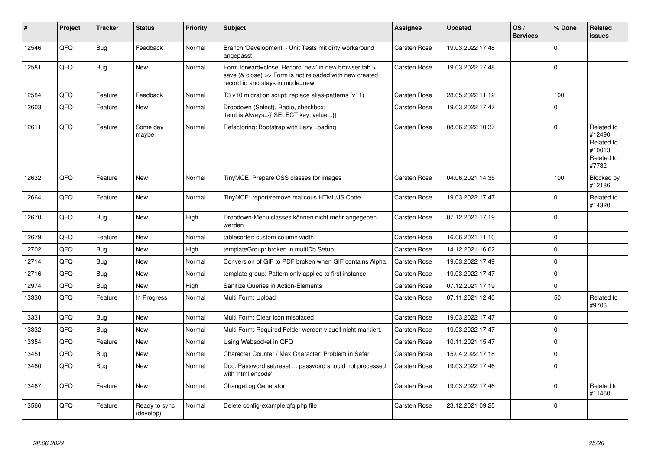| #     | Project | <b>Tracker</b> | <b>Status</b>              | <b>Priority</b> | <b>Subject</b>                                                                                                                                      | <b>Assignee</b>     | <b>Updated</b>   | OS/<br><b>Services</b> | % Done      | Related<br><b>issues</b>                                              |
|-------|---------|----------------|----------------------------|-----------------|-----------------------------------------------------------------------------------------------------------------------------------------------------|---------------------|------------------|------------------------|-------------|-----------------------------------------------------------------------|
| 12546 | QFQ     | <b>Bug</b>     | Feedback                   | Normal          | Branch 'Development' - Unit Tests mit dirty workaround<br>angepasst                                                                                 | <b>Carsten Rose</b> | 19.03.2022 17:48 |                        | $\Omega$    |                                                                       |
| 12581 | QFQ     | <b>Bug</b>     | <b>New</b>                 | Normal          | Form forward=close: Record 'new' in new browser tab ><br>save (& close) >> Form is not reloaded with new created<br>record id and stays in mode=new | <b>Carsten Rose</b> | 19.03.2022 17:48 |                        | $\Omega$    |                                                                       |
| 12584 | QFQ     | Feature        | Feedback                   | Normal          | T3 v10 migration script: replace alias-patterns (v11)                                                                                               | <b>Carsten Rose</b> | 28.05.2022 11:12 |                        | 100         |                                                                       |
| 12603 | QFQ     | Feature        | <b>New</b>                 | Normal          | Dropdown (Select), Radio, checkbox:<br>itemListAlways={{!SELECT key, value}}                                                                        | <b>Carsten Rose</b> | 19.03.2022 17:47 |                        | $\Omega$    |                                                                       |
| 12611 | QFQ     | Feature        | Some day<br>maybe          | Normal          | Refactoring: Bootstrap with Lazy Loading                                                                                                            | <b>Carsten Rose</b> | 08.06.2022 10:37 |                        | $\Omega$    | Related to<br>#12490,<br>Related to<br>#10013,<br>Related to<br>#7732 |
| 12632 | QFQ     | Feature        | <b>New</b>                 | Normal          | TinyMCE: Prepare CSS classes for images                                                                                                             | <b>Carsten Rose</b> | 04.06.2021 14:35 |                        | 100         | Blocked by<br>#12186                                                  |
| 12664 | QFQ     | Feature        | <b>New</b>                 | Normal          | TinyMCE: report/remove malicous HTML/JS Code                                                                                                        | <b>Carsten Rose</b> | 19.03.2022 17:47 |                        | $\Omega$    | Related to<br>#14320                                                  |
| 12670 | QFQ     | <b>Bug</b>     | <b>New</b>                 | High            | Dropdown-Menu classes können nicht mehr angegeben<br>werden                                                                                         | <b>Carsten Rose</b> | 07.12.2021 17:19 |                        | $\mathbf 0$ |                                                                       |
| 12679 | QFQ     | Feature        | New                        | Normal          | tablesorter: custom column width                                                                                                                    | Carsten Rose        | 16.06.2021 11:10 |                        | $\Omega$    |                                                                       |
| 12702 | QFQ     | <b>Bug</b>     | <b>New</b>                 | High            | templateGroup: broken in multiDb Setup                                                                                                              | <b>Carsten Rose</b> | 14.12.2021 16:02 |                        | $\Omega$    |                                                                       |
| 12714 | QFQ     | Bug            | <b>New</b>                 | Normal          | Conversion of GIF to PDF broken when GIF contains Alpha.                                                                                            | Carsten Rose        | 19.03.2022 17:49 |                        | $\Omega$    |                                                                       |
| 12716 | QFQ     | <b>Bug</b>     | New                        | Normal          | template group: Pattern only applied to first instance                                                                                              | <b>Carsten Rose</b> | 19.03.2022 17:47 |                        | $\mathbf 0$ |                                                                       |
| 12974 | QFQ     | Bug            | <b>New</b>                 | High            | Sanitize Queries in Action-Elements                                                                                                                 | <b>Carsten Rose</b> | 07.12.2021 17:19 |                        | $\Omega$    |                                                                       |
| 13330 | QFQ     | Feature        | In Progress                | Normal          | Multi Form: Upload                                                                                                                                  | <b>Carsten Rose</b> | 07.11.2021 12:40 |                        | 50          | Related to<br>#9706                                                   |
| 13331 | OFO     | <b>Bug</b>     | New                        | Normal          | Multi Form: Clear Icon misplaced                                                                                                                    | <b>Carsten Rose</b> | 19.03.2022 17:47 |                        | $\Omega$    |                                                                       |
| 13332 | QFQ     | Bug            | <b>New</b>                 | Normal          | Multi Form: Required Felder werden visuell nicht markiert.                                                                                          | <b>Carsten Rose</b> | 19.03.2022 17:47 |                        | 0           |                                                                       |
| 13354 | QFQ     | Feature        | <b>New</b>                 | Normal          | Using Websocket in QFQ                                                                                                                              | <b>Carsten Rose</b> | 10.11.2021 15:47 |                        | $\Omega$    |                                                                       |
| 13451 | QFQ     | <b>Bug</b>     | New                        | Normal          | Character Counter / Max Character: Problem in Safari                                                                                                | <b>Carsten Rose</b> | 15.04.2022 17:18 |                        | $\mathbf 0$ |                                                                       |
| 13460 | QFQ     | <b>Bug</b>     | New                        | Normal          | Doc: Password set/reset  password should not processed<br>with 'html encode'                                                                        | <b>Carsten Rose</b> | 19.03.2022 17:46 |                        | $\Omega$    |                                                                       |
| 13467 | QFQ     | Feature        | <b>New</b>                 | Normal          | ChangeLog Generator                                                                                                                                 | <b>Carsten Rose</b> | 19.03.2022 17:46 |                        | $\Omega$    | Related to<br>#11460                                                  |
| 13566 | QFQ     | Feature        | Ready to sync<br>(develop) | Normal          | Delete config-example.gfg.php file                                                                                                                  | <b>Carsten Rose</b> | 23.12.2021 09:25 |                        | $\Omega$    |                                                                       |